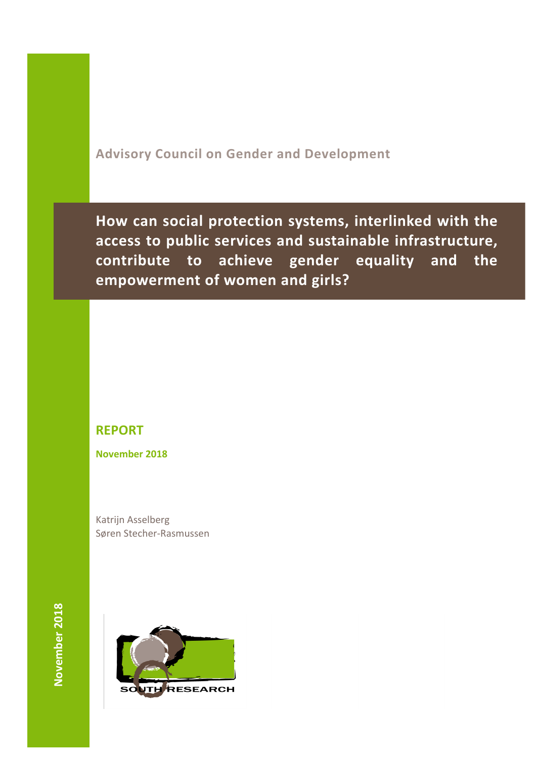# **Advisory Council on Gender and Development**

How can social protection systems, interlinked with the access to public services and sustainable infrastructure, contribute to achieve gender equality and the empowerment of women and girls?

# **REPORT**

**November 2018**

Katrijn Asselberg Søren Stecher-Rasmussen

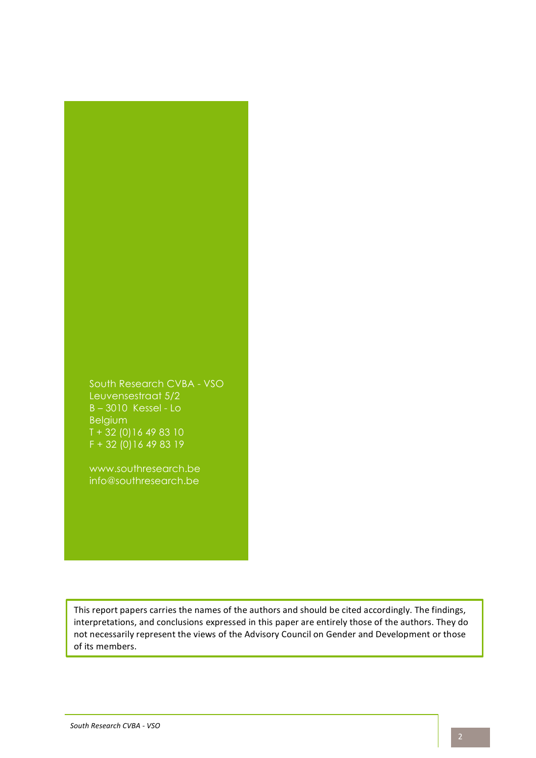

www.southresearch.be info@southresearch.be

This report papers carries the names of the authors and should be cited accordingly. The findings, interpretations, and conclusions expressed in this paper are entirely those of the authors. They do not necessarily represent the views of the Advisory Council on Gender and Development or those of its members.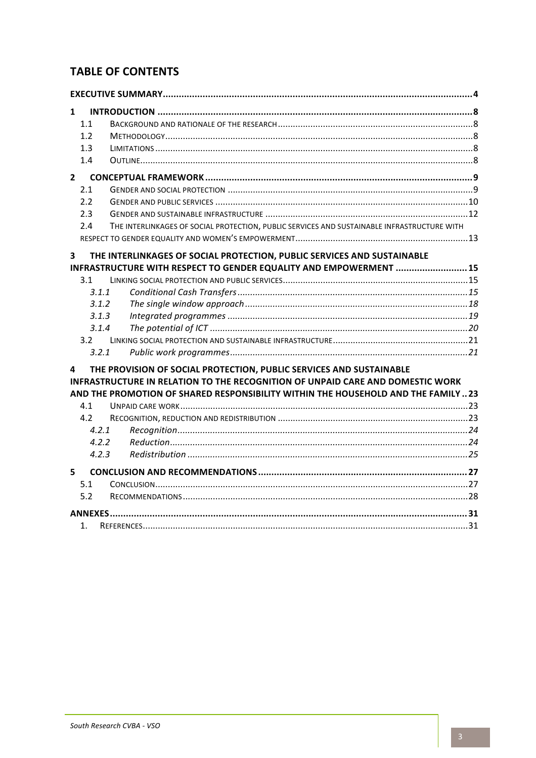# **TABLE OF CONTENTS**

| $\mathbf{1}$            |                                                                                                                                                                                                                                           |  |
|-------------------------|-------------------------------------------------------------------------------------------------------------------------------------------------------------------------------------------------------------------------------------------|--|
| 1.1                     |                                                                                                                                                                                                                                           |  |
| 1.2                     |                                                                                                                                                                                                                                           |  |
| 1.3                     |                                                                                                                                                                                                                                           |  |
| 1.4                     |                                                                                                                                                                                                                                           |  |
| $2^{\circ}$             |                                                                                                                                                                                                                                           |  |
| 2.1                     |                                                                                                                                                                                                                                           |  |
| 2.2                     |                                                                                                                                                                                                                                           |  |
| 2.3                     |                                                                                                                                                                                                                                           |  |
| 2.4                     | THE INTERLINKAGES OF SOCIAL PROTECTION, PUBLIC SERVICES AND SUSTAINABLE INFRASTRUCTURE WITH                                                                                                                                               |  |
|                         |                                                                                                                                                                                                                                           |  |
| $\overline{\mathbf{3}}$ | THE INTERLINKAGES OF SOCIAL PROTECTION, PUBLIC SERVICES AND SUSTAINABLE                                                                                                                                                                   |  |
|                         | INFRASTRUCTURE WITH RESPECT TO GENDER EQUALITY AND EMPOWERMENT  15                                                                                                                                                                        |  |
| 3.1                     |                                                                                                                                                                                                                                           |  |
| 3.1.1                   |                                                                                                                                                                                                                                           |  |
| 3.1.2                   |                                                                                                                                                                                                                                           |  |
| 3.1.3                   |                                                                                                                                                                                                                                           |  |
| 3.1.4                   |                                                                                                                                                                                                                                           |  |
| 3.2                     |                                                                                                                                                                                                                                           |  |
| 3.2.1                   |                                                                                                                                                                                                                                           |  |
| 4                       | THE PROVISION OF SOCIAL PROTECTION, PUBLIC SERVICES AND SUSTAINABLE<br>INFRASTRUCTURE IN RELATION TO THE RECOGNITION OF UNPAID CARE AND DOMESTIC WORK<br>AND THE PROMOTION OF SHARED RESPONSIBILITY WITHIN THE HOUSEHOLD AND THE FAMILY23 |  |
| 4.1                     |                                                                                                                                                                                                                                           |  |
| 4.2                     |                                                                                                                                                                                                                                           |  |
| 4.2.1                   |                                                                                                                                                                                                                                           |  |
| 4.2.2                   |                                                                                                                                                                                                                                           |  |
| 4.2.3                   |                                                                                                                                                                                                                                           |  |
| 5                       |                                                                                                                                                                                                                                           |  |
| 5.1                     |                                                                                                                                                                                                                                           |  |
| 5.2                     |                                                                                                                                                                                                                                           |  |
|                         |                                                                                                                                                                                                                                           |  |
| 1.                      |                                                                                                                                                                                                                                           |  |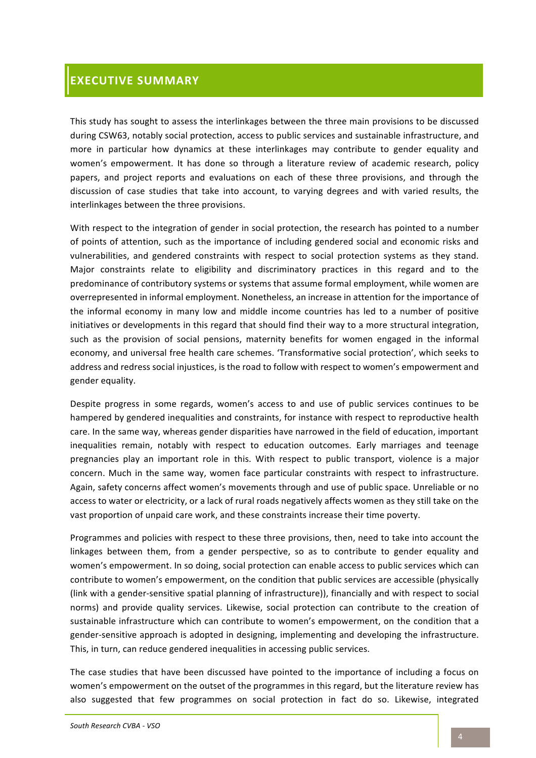# **EXECUTIVE SUMMARY**

This study has sought to assess the interlinkages between the three main provisions to be discussed during CSW63, notably social protection, access to public services and sustainable infrastructure, and more in particular how dynamics at these interlinkages may contribute to gender equality and women's empowerment. It has done so through a literature review of academic research, policy papers, and project reports and evaluations on each of these three provisions, and through the discussion of case studies that take into account, to varying degrees and with varied results, the interlinkages between the three provisions.

With respect to the integration of gender in social protection, the research has pointed to a number of points of attention, such as the importance of including gendered social and economic risks and vulnerabilities, and gendered constraints with respect to social protection systems as they stand. Major constraints relate to eligibility and discriminatory practices in this regard and to the predominance of contributory systems or systems that assume formal employment, while women are overrepresented in informal employment. Nonetheless, an increase in attention for the importance of the informal economy in many low and middle income countries has led to a number of positive initiatives or developments in this regard that should find their way to a more structural integration, such as the provision of social pensions, maternity benefits for women engaged in the informal economy, and universal free health care schemes. 'Transformative social protection', which seeks to address and redress social injustices, is the road to follow with respect to women's empowerment and gender equality.

Despite progress in some regards, women's access to and use of public services continues to be hampered by gendered inequalities and constraints, for instance with respect to reproductive health care. In the same way, whereas gender disparities have narrowed in the field of education, important inequalities remain, notably with respect to education outcomes. Early marriages and teenage pregnancies play an important role in this. With respect to public transport, violence is a major concern. Much in the same way, women face particular constraints with respect to infrastructure. Again, safety concerns affect women's movements through and use of public space. Unreliable or no access to water or electricity, or a lack of rural roads negatively affects women as they still take on the vast proportion of unpaid care work, and these constraints increase their time poverty.

Programmes and policies with respect to these three provisions, then, need to take into account the linkages between them, from a gender perspective, so as to contribute to gender equality and women's empowerment. In so doing, social protection can enable access to public services which can contribute to women's empowerment, on the condition that public services are accessible (physically (link with a gender-sensitive spatial planning of infrastructure)), financially and with respect to social norms) and provide quality services. Likewise, social protection can contribute to the creation of sustainable infrastructure which can contribute to women's empowerment, on the condition that a gender-sensitive approach is adopted in designing, implementing and developing the infrastructure. This, in turn, can reduce gendered inequalities in accessing public services.

The case studies that have been discussed have pointed to the importance of including a focus on women's empowerment on the outset of the programmes in this regard, but the literature review has also suggested that few programmes on social protection in fact do so. Likewise, integrated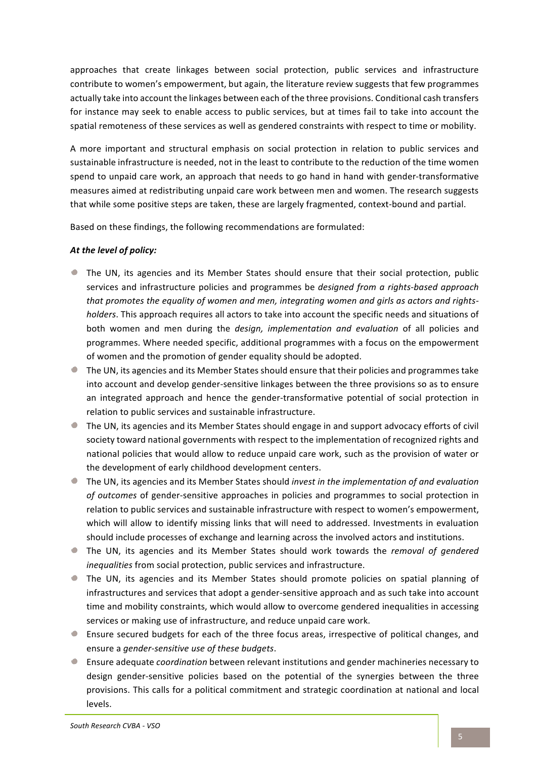approaches that create linkages between social protection, public services and infrastructure contribute to women's empowerment, but again, the literature review suggests that few programmes actually take into account the linkages between each of the three provisions. Conditional cash transfers for instance may seek to enable access to public services, but at times fail to take into account the spatial remoteness of these services as well as gendered constraints with respect to time or mobility.

A more important and structural emphasis on social protection in relation to public services and sustainable infrastructure is needed, not in the least to contribute to the reduction of the time women spend to unpaid care work, an approach that needs to go hand in hand with gender-transformative measures aimed at redistributing unpaid care work between men and women. The research suggests that while some positive steps are taken, these are largely fragmented, context-bound and partial.

Based on these findings, the following recommendations are formulated:

#### At the level of policy:

- $\bullet$  The UN, its agencies and its Member States should ensure that their social protection, public services and infrastructure policies and programmes be *designed from a rights-based approach* that promotes the equality of women and men, integrating women and girls as actors and rights*holders*. This approach requires all actors to take into account the specific needs and situations of both women and men during the *design, implementation and evaluation* of all policies and programmes. Where needed specific, additional programmes with a focus on the empowerment of women and the promotion of gender equality should be adopted.
- $\bullet$  The UN, its agencies and its Member States should ensure that their policies and programmes take into account and develop gender-sensitive linkages between the three provisions so as to ensure an integrated approach and hence the gender-transformative potential of social protection in relation to public services and sustainable infrastructure.
- If The UN, its agencies and its Member States should engage in and support advocacy efforts of civil society toward national governments with respect to the implementation of recognized rights and national policies that would allow to reduce unpaid care work, such as the provision of water or the development of early childhood development centers.
- The UN, its agencies and its Member States should *invest in the implementation of and evaluation* of outcomes of gender-sensitive approaches in policies and programmes to social protection in relation to public services and sustainable infrastructure with respect to women's empowerment, which will allow to identify missing links that will need to addressed. Investments in evaluation should include processes of exchange and learning across the involved actors and institutions.
- **The UN, its agencies and its Member States should work towards the** *removal of gendered* inequalities from social protection, public services and infrastructure.
- If The UN, its agencies and its Member States should promote policies on spatial planning of infrastructures and services that adopt a gender-sensitive approach and as such take into account time and mobility constraints, which would allow to overcome gendered inequalities in accessing services or making use of infrastructure, and reduce unpaid care work.
- Ensure secured budgets for each of the three focus areas, irrespective of political changes, and ensure a *gender-sensitive* use of these budgets.
- **E** Ensure adequate *coordination* between relevant institutions and gender machineries necessary to design gender-sensitive policies based on the potential of the synergies between the three provisions. This calls for a political commitment and strategic coordination at national and local levels.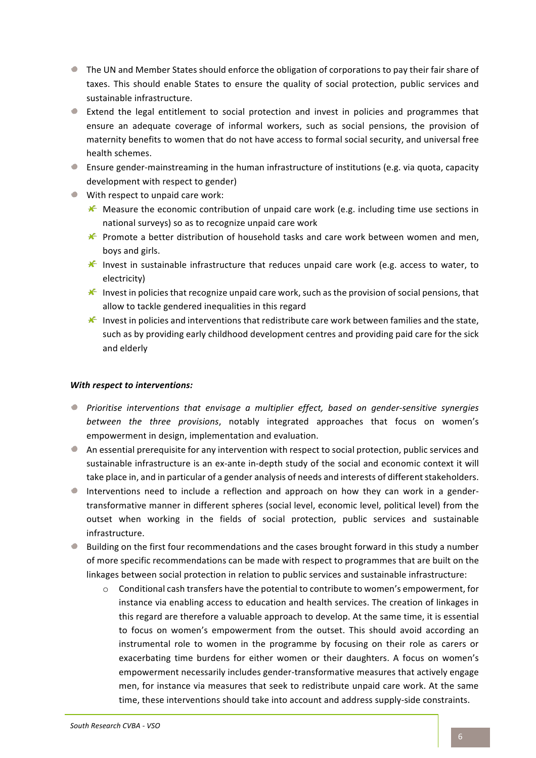- If the UN and Member States should enforce the obligation of corporations to pay their fair share of taxes. This should enable States to ensure the quality of social protection, public services and sustainable infrastructure.
- Extend the legal entitlement to social protection and invest in policies and programmes that ensure an adequate coverage of informal workers, such as social pensions, the provision of maternity benefits to women that do not have access to formal social security, and universal free health schemes.
- **E** Ensure gender-mainstreaming in the human infrastructure of institutions (e.g. via quota, capacity development with respect to gender)
- $\bullet$  With respect to unpaid care work:
	- $\mathcal K$  Measure the economic contribution of unpaid care work (e.g. including time use sections in national surveys) so as to recognize unpaid care work
	- $\mathcal K$  Promote a better distribution of household tasks and care work between women and men, boys and girls.
	- $\mathcal K$  Invest in sustainable infrastructure that reduces unpaid care work (e.g. access to water, to electricity)
	- $\mathcal K$  Invest in policies that recognize unpaid care work, such as the provision of social pensions, that allow to tackle gendered inequalities in this regard
	- $\mathcal K$  Invest in policies and interventions that redistribute care work between families and the state, such as by providing early childhood development centres and providing paid care for the sick and elderly

#### *With respect to interventions:*

- **P** Prioritise interventions that envisage a multiplier effect, based on gender-sensitive synergies *between* the three provisions, notably integrated approaches that focus on women's empowerment in design, implementation and evaluation.
- $\bullet$  An essential prerequisite for any intervention with respect to social protection, public services and sustainable infrastructure is an ex-ante in-depth study of the social and economic context it will take place in, and in particular of a gender analysis of needs and interests of different stakeholders.
- $\bullet$ Interventions need to include a reflection and approach on how they can work in a gendertransformative manner in different spheres (social level, economic level, political level) from the outset when working in the fields of social protection, public services and sustainable infrastructure.
- $\bullet$  Building on the first four recommendations and the cases brought forward in this study a number of more specific recommendations can be made with respect to programmes that are built on the linkages between social protection in relation to public services and sustainable infrastructure:
	- $\circ$  Conditional cash transfers have the potential to contribute to women's empowerment, for instance via enabling access to education and health services. The creation of linkages in this regard are therefore a valuable approach to develop. At the same time, it is essential to focus on women's empowerment from the outset. This should avoid according an instrumental role to women in the programme by focusing on their role as carers or exacerbating time burdens for either women or their daughters. A focus on women's empowerment necessarily includes gender-transformative measures that actively engage men, for instance via measures that seek to redistribute unpaid care work. At the same time, these interventions should take into account and address supply-side constraints.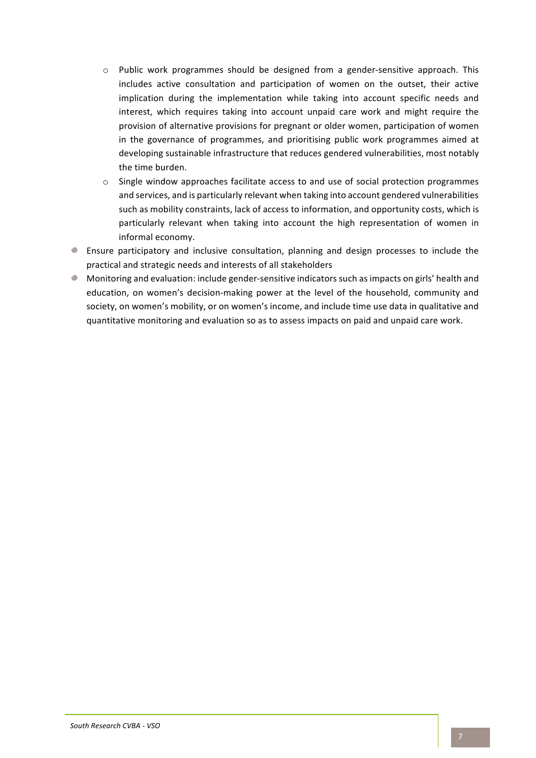- $\circ$  Public work programmes should be designed from a gender-sensitive approach. This includes active consultation and participation of women on the outset, their active implication during the implementation while taking into account specific needs and interest, which requires taking into account unpaid care work and might require the provision of alternative provisions for pregnant or older women, participation of women in the governance of programmes, and prioritising public work programmes aimed at developing sustainable infrastructure that reduces gendered vulnerabilities, most notably the time burden.
- $\circ$  Single window approaches facilitate access to and use of social protection programmes and services, and is particularly relevant when taking into account gendered vulnerabilities such as mobility constraints, lack of access to information, and opportunity costs, which is particularly relevant when taking into account the high representation of women in informal economy.
- Ensure participatory and inclusive consultation, planning and design processes to include the  $\bullet$ practical and strategic needs and interests of all stakeholders
- $\bullet$  Monitoring and evaluation: include gender-sensitive indicators such as impacts on girls' health and education, on women's decision-making power at the level of the household, community and society, on women's mobility, or on women's income, and include time use data in qualitative and quantitative monitoring and evaluation so as to assess impacts on paid and unpaid care work.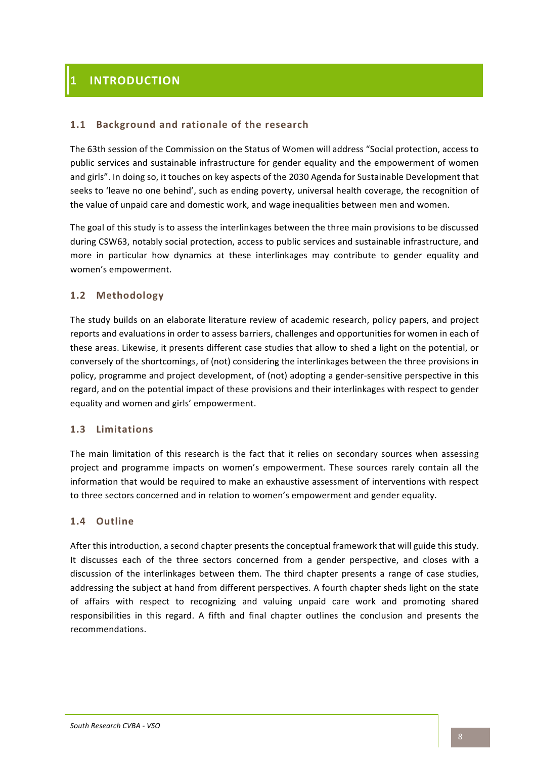# **1 INTRODUCTION**

### 1.1 Background and rationale of the research

The 63th session of the Commission on the Status of Women will address "Social protection, access to public services and sustainable infrastructure for gender equality and the empowerment of women and girls". In doing so, it touches on key aspects of the 2030 Agenda for Sustainable Development that seeks to 'leave no one behind', such as ending poverty, universal health coverage, the recognition of the value of unpaid care and domestic work, and wage inequalities between men and women.

The goal of this study is to assess the interlinkages between the three main provisions to be discussed during CSW63, notably social protection, access to public services and sustainable infrastructure, and more in particular how dynamics at these interlinkages may contribute to gender equality and women's empowerment.

### **1.2 Methodology**

The study builds on an elaborate literature review of academic research, policy papers, and project reports and evaluations in order to assess barriers, challenges and opportunities for women in each of these areas. Likewise, it presents different case studies that allow to shed a light on the potential, or conversely of the shortcomings, of (not) considering the interlinkages between the three provisions in policy, programme and project development, of (not) adopting a gender-sensitive perspective in this regard, and on the potential impact of these provisions and their interlinkages with respect to gender equality and women and girls' empowerment.

#### **1.3 Limitations**

The main limitation of this research is the fact that it relies on secondary sources when assessing project and programme impacts on women's empowerment. These sources rarely contain all the information that would be required to make an exhaustive assessment of interventions with respect to three sectors concerned and in relation to women's empowerment and gender equality.

#### **1.4 Outline**

After this introduction, a second chapter presents the conceptual framework that will guide this study. It discusses each of the three sectors concerned from a gender perspective, and closes with a discussion of the interlinkages between them. The third chapter presents a range of case studies, addressing the subject at hand from different perspectives. A fourth chapter sheds light on the state of affairs with respect to recognizing and valuing unpaid care work and promoting shared responsibilities in this regard. A fifth and final chapter outlines the conclusion and presents the recommendations.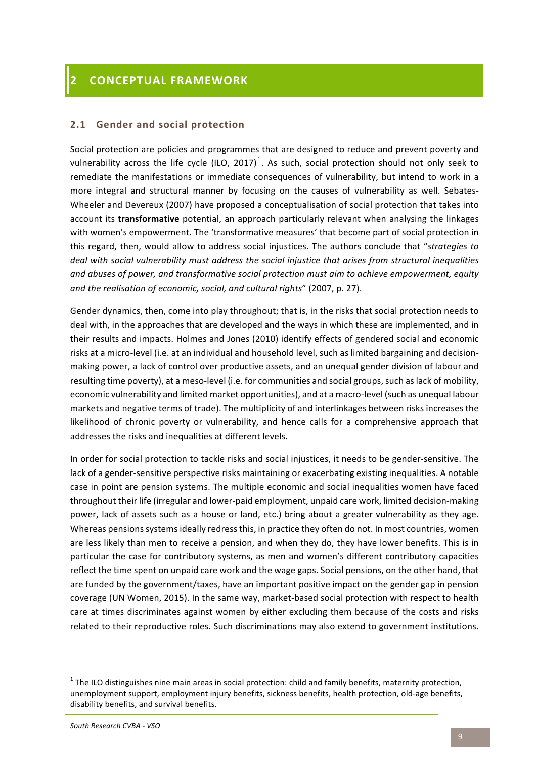# **2.1 Gender and social protection**

Social protection are policies and programmes that are designed to reduce and prevent poverty and vulnerability across the life cycle (ILO, 2017)<sup>1</sup>. As such, social protection should not only seek to remediate the manifestations or immediate consequences of vulnerability, but intend to work in a more integral and structural manner by focusing on the causes of vulnerability as well. Sebates-Wheeler and Devereux (2007) have proposed a conceptualisation of social protection that takes into account its **transformative** potential, an approach particularly relevant when analysing the linkages with women's empowerment. The 'transformative measures' that become part of social protection in this regard, then, would allow to address social injustices. The authors conclude that "strategies to deal with social vulnerability must address the social injustice that arises from structural inequalities and abuses of power, and transformative social protection must aim to achieve empowerment, equity and the realisation of economic, social, and cultural rights" (2007, p. 27).

Gender dynamics, then, come into play throughout; that is, in the risks that social protection needs to deal with, in the approaches that are developed and the ways in which these are implemented, and in their results and impacts. Holmes and Jones (2010) identify effects of gendered social and economic risks at a micro-level (i.e. at an individual and household level, such as limited bargaining and decisionmaking power, a lack of control over productive assets, and an unequal gender division of labour and resulting time poverty), at a meso-level (i.e. for communities and social groups, such as lack of mobility, economic vulnerability and limited market opportunities), and at a macro-level (such as unequal labour markets and negative terms of trade). The multiplicity of and interlinkages between risks increases the likelihood of chronic poverty or vulnerability, and hence calls for a comprehensive approach that addresses the risks and inequalities at different levels.

In order for social protection to tackle risks and social injustices, it needs to be gender-sensitive. The lack of a gender-sensitive perspective risks maintaining or exacerbating existing inequalities. A notable case in point are pension systems. The multiple economic and social inequalities women have faced throughout their life (irregular and lower-paid employment, unpaid care work, limited decision-making power, lack of assets such as a house or land, etc.) bring about a greater vulnerability as they age. Whereas pensions systems ideally redress this, in practice they often do not. In most countries, women are less likely than men to receive a pension, and when they do, they have lower benefits. This is in particular the case for contributory systems, as men and women's different contributory capacities reflect the time spent on unpaid care work and the wage gaps. Social pensions, on the other hand, that are funded by the government/taxes, have an important positive impact on the gender gap in pension coverage (UN Women, 2015). In the same way, market-based social protection with respect to health care at times discriminates against women by either excluding them because of the costs and risks related to their reproductive roles. Such discriminations may also extend to government institutions.

 $<sup>1</sup>$  The ILO distinguishes nine main areas in social protection: child and family benefits, maternity protection,</sup> unemployment support, employment injury benefits, sickness benefits, health protection, old-age benefits, disability benefits, and survival benefits.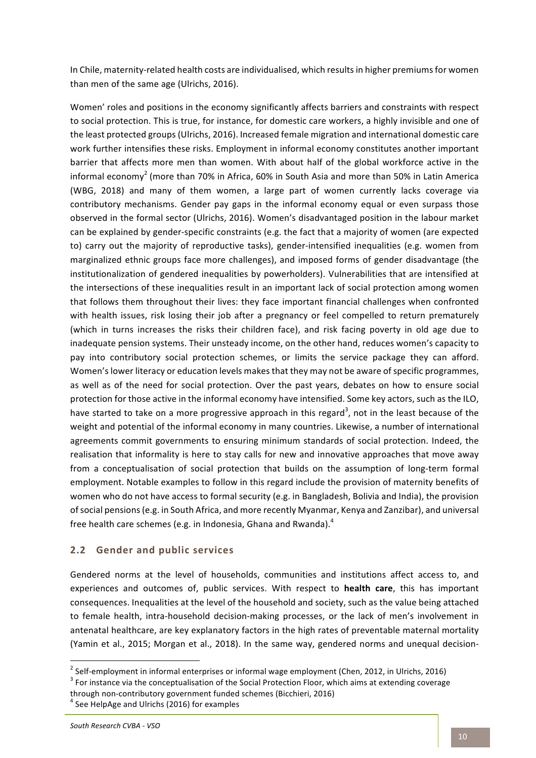In Chile, maternity-related health costs are individualised, which results in higher premiums for women than men of the same age (Ulrichs, 2016).

Women' roles and positions in the economy significantly affects barriers and constraints with respect to social protection. This is true, for instance, for domestic care workers, a highly invisible and one of the least protected groups (Ulrichs, 2016). Increased female migration and international domestic care work further intensifies these risks. Employment in informal economy constitutes another important barrier that affects more men than women. With about half of the global workforce active in the informal economy<sup>2</sup> (more than 70% in Africa, 60% in South Asia and more than 50% in Latin America (WBG, 2018) and many of them women, a large part of women currently lacks coverage via contributory mechanisms. Gender pay gaps in the informal economy equal or even surpass those observed in the formal sector (Ulrichs, 2016). Women's disadvantaged position in the labour market can be explained by gender-specific constraints (e.g. the fact that a majority of women (are expected to) carry out the majority of reproductive tasks), gender-intensified inequalities (e.g. women from marginalized ethnic groups face more challenges), and imposed forms of gender disadvantage (the institutionalization of gendered inequalities by powerholders). Vulnerabilities that are intensified at the intersections of these inequalities result in an important lack of social protection among women that follows them throughout their lives: they face important financial challenges when confronted with health issues, risk losing their job after a pregnancy or feel compelled to return prematurely (which in turns increases the risks their children face), and risk facing poverty in old age due to inadequate pension systems. Their unsteady income, on the other hand, reduces women's capacity to pay into contributory social protection schemes, or limits the service package they can afford. Women's lower literacy or education levels makes that they may not be aware of specific programmes, as well as of the need for social protection. Over the past years, debates on how to ensure social protection for those active in the informal economy have intensified. Some key actors, such as the ILO, have started to take on a more progressive approach in this regard<sup>3</sup>, not in the least because of the weight and potential of the informal economy in many countries. Likewise, a number of international agreements commit governments to ensuring minimum standards of social protection. Indeed, the realisation that informality is here to stay calls for new and innovative approaches that move away from a conceptualisation of social protection that builds on the assumption of long-term formal employment. Notable examples to follow in this regard include the provision of maternity benefits of women who do not have access to formal security (e.g. in Bangladesh, Bolivia and India), the provision of social pensions (e.g. in South Africa, and more recently Myanmar, Kenya and Zanzibar), and universal free health care schemes (e.g. in Indonesia, Ghana and Rwanda). $^4$ 

# **2.2 Gender and public services**

Gendered norms at the level of households, communities and institutions affect access to, and experiences and outcomes of, public services. With respect to **health care**, this has important consequences. Inequalities at the level of the household and society, such as the value being attached to female health, intra-household decision-making processes, or the lack of men's involvement in antenatal healthcare, are key explanatory factors in the high rates of preventable maternal mortality (Yamin et al., 2015; Morgan et al., 2018). In the same way, gendered norms and unequal decision-

<sup>&</sup>lt;sup>2</sup> Self-employment in informal enterprises or informal wage employment (Chen, 2012, in Ulrichs, 2016)  $^3$  For instance via the conceptualisation of the Social Protection Floor, which aims at extending coverage

through non-contributory government funded schemes (Bicchieri, 2016)<br><sup>4</sup> See HelpAge and Ulrichs (2016) for examples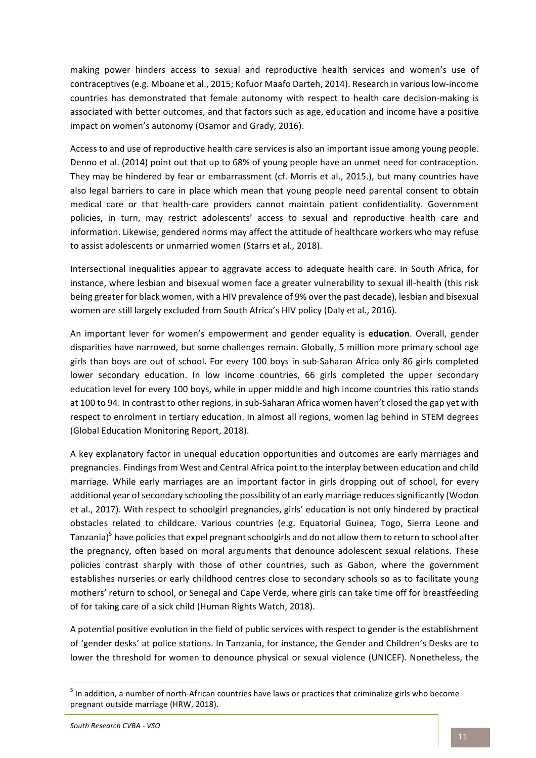making power hinders access to sexual and reproductive health services and women's use of contraceptives (e.g. Mboane et al., 2015; Kofuor Maafo Darteh, 2014). Research in various low-income countries has demonstrated that female autonomy with respect to health care decision-making is associated with better outcomes, and that factors such as age, education and income have a positive impact on women's autonomy (Osamor and Grady, 2016).

Access to and use of reproductive health care services is also an important issue among young people. Denno et al. (2014) point out that up to 68% of young people have an unmet need for contraception. They may be hindered by fear or embarrassment (cf. Morris et al., 2015.), but many countries have also legal barriers to care in place which mean that young people need parental consent to obtain medical care or that health-care providers cannot maintain patient confidentiality. Government policies, in turn, may restrict adolescents' access to sexual and reproductive health care and information. Likewise, gendered norms may affect the attitude of healthcare workers who may refuse to assist adolescents or unmarried women (Starrs et al., 2018).

Intersectional inequalities appear to aggravate access to adequate health care. In South Africa, for instance, where lesbian and bisexual women face a greater vulnerability to sexual ill-health (this risk being greater for black women, with a HIV prevalence of 9% over the past decade), lesbian and bisexual women are still largely excluded from South Africa's HIV policy (Daly et al., 2016).

An important lever for women's empowerment and gender equality is **education**. Overall, gender disparities have narrowed, but some challenges remain. Globally, 5 million more primary school age girls than boys are out of school. For every 100 boys in sub-Saharan Africa only 86 girls completed lower secondary education. In low income countries, 66 girls completed the upper secondary education level for every 100 boys, while in upper middle and high income countries this ratio stands at 100 to 94. In contrast to other regions, in sub-Saharan Africa women haven't closed the gap yet with respect to enrolment in tertiary education. In almost all regions, women lag behind in STEM degrees (Global Education Monitoring Report, 2018).

A key explanatory factor in unequal education opportunities and outcomes are early marriages and pregnancies. Findings from West and Central Africa point to the interplay between education and child marriage. While early marriages are an important factor in girls dropping out of school, for every additional year of secondary schooling the possibility of an early marriage reduces significantly (Wodon et al., 2017). With respect to schoolgirl pregnancies, girls' education is not only hindered by practical obstacles related to childcare. Various countries (e.g. Equatorial Guinea, Togo, Sierra Leone and Tanzania) $5$  have policies that expel pregnant schoolgirls and do not allow them to return to school after the pregnancy, often based on moral arguments that denounce adolescent sexual relations. These policies contrast sharply with those of other countries, such as Gabon, where the government establishes nurseries or early childhood centres close to secondary schools so as to facilitate young mothers' return to school, or Senegal and Cape Verde, where girls can take time off for breastfeeding of for taking care of a sick child (Human Rights Watch, 2018).

A potential positive evolution in the field of public services with respect to gender is the establishment of 'gender desks' at police stations. In Tanzania, for instance, the Gender and Children's Desks are to lower the threshold for women to denounce physical or sexual violence (UNICEF). Nonetheless, the

 $<sup>5</sup>$  In addition, a number of north-African countries have laws or practices that criminalize girls who become</sup> pregnant outside marriage (HRW, 2018).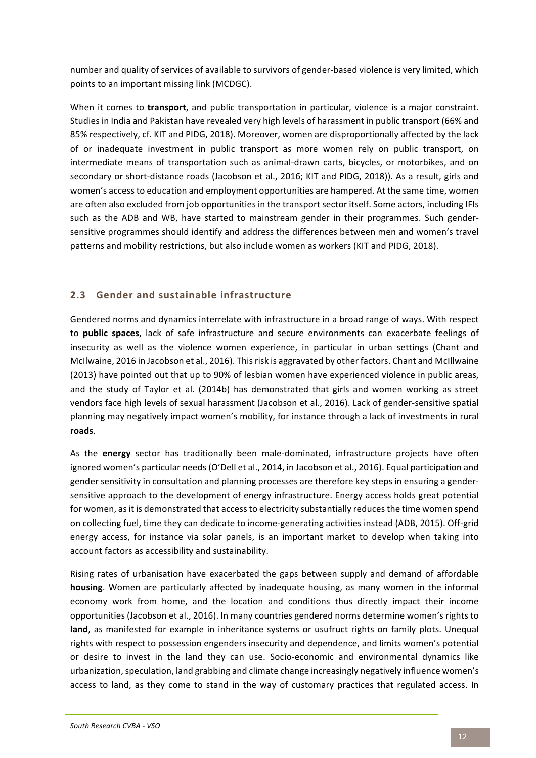number and quality of services of available to survivors of gender-based violence is very limited, which points to an important missing link (MCDGC).

When it comes to **transport**, and public transportation in particular, violence is a major constraint. Studies in India and Pakistan have revealed very high levels of harassment in public transport (66% and 85% respectively, cf. KIT and PIDG, 2018). Moreover, women are disproportionally affected by the lack of or inadequate investment in public transport as more women rely on public transport, on intermediate means of transportation such as animal-drawn carts, bicycles, or motorbikes, and on secondary or short-distance roads (Jacobson et al., 2016; KIT and PIDG, 2018)). As a result, girls and women's access to education and employment opportunities are hampered. At the same time, women are often also excluded from job opportunities in the transport sector itself. Some actors, including IFIs such as the ADB and WB, have started to mainstream gender in their programmes. Such gendersensitive programmes should identify and address the differences between men and women's travel patterns and mobility restrictions, but also include women as workers (KIT and PIDG, 2018).

# **2.3** Gender and sustainable infrastructure

Gendered norms and dynamics interrelate with infrastructure in a broad range of ways. With respect to **public spaces**, lack of safe infrastructure and secure environments can exacerbate feelings of insecurity as well as the violence women experience, in particular in urban settings (Chant and McIlwaine, 2016 in Jacobson et al., 2016). This risk is aggravated by other factors. Chant and McIllwaine (2013) have pointed out that up to 90% of lesbian women have experienced violence in public areas, and the study of Taylor et al. (2014b) has demonstrated that girls and women working as street vendors face high levels of sexual harassment (Jacobson et al., 2016). Lack of gender-sensitive spatial planning may negatively impact women's mobility, for instance through a lack of investments in rural **roads**. 

As the **energy** sector has traditionally been male-dominated, infrastructure projects have often ignored women's particular needs (O'Dell et al., 2014, in Jacobson et al., 2016). Equal participation and gender sensitivity in consultation and planning processes are therefore key steps in ensuring a gendersensitive approach to the development of energy infrastructure. Energy access holds great potential for women, as it is demonstrated that access to electricity substantially reduces the time women spend on collecting fuel, time they can dedicate to income-generating activities instead (ADB, 2015). Off-grid energy access, for instance via solar panels, is an important market to develop when taking into account factors as accessibility and sustainability.

Rising rates of urbanisation have exacerbated the gaps between supply and demand of affordable **housing**. Women are particularly affected by inadequate housing, as many women in the informal economy work from home, and the location and conditions thus directly impact their income opportunities (Jacobson et al., 2016). In many countries gendered norms determine women's rights to land, as manifested for example in inheritance systems or usufruct rights on family plots. Unequal rights with respect to possession engenders insecurity and dependence, and limits women's potential or desire to invest in the land they can use. Socio-economic and environmental dynamics like urbanization, speculation, land grabbing and climate change increasingly negatively influence women's access to land, as they come to stand in the way of customary practices that regulated access. In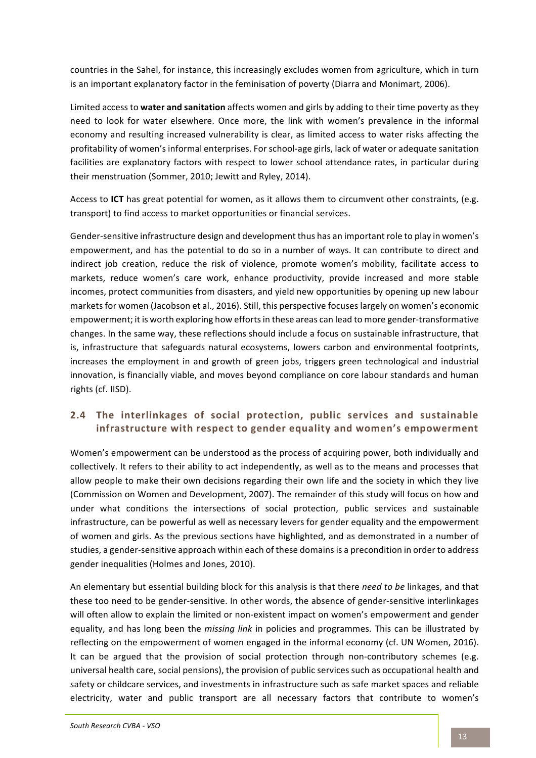countries in the Sahel, for instance, this increasingly excludes women from agriculture, which in turn is an important explanatory factor in the feminisation of poverty (Diarra and Monimart, 2006).

Limited access to water and sanitation affects women and girls by adding to their time poverty as they need to look for water elsewhere. Once more, the link with women's prevalence in the informal economy and resulting increased vulnerability is clear, as limited access to water risks affecting the profitability of women's informal enterprises. For school-age girls, lack of water or adequate sanitation facilities are explanatory factors with respect to lower school attendance rates, in particular during their menstruation (Sommer, 2010; Jewitt and Ryley, 2014).

Access to **ICT** has great potential for women, as it allows them to circumvent other constraints, (e.g. transport) to find access to market opportunities or financial services.

Gender-sensitive infrastructure design and development thus has an important role to play in women's empowerment, and has the potential to do so in a number of ways. It can contribute to direct and indirect job creation, reduce the risk of violence, promote women's mobility, facilitate access to markets, reduce women's care work, enhance productivity, provide increased and more stable incomes, protect communities from disasters, and yield new opportunities by opening up new labour markets for women (Jacobson et al., 2016). Still, this perspective focuses largely on women's economic empowerment; it is worth exploring how efforts in these areas can lead to more gender-transformative changes. In the same way, these reflections should include a focus on sustainable infrastructure, that is, infrastructure that safeguards natural ecosystems, lowers carbon and environmental footprints, increases the employment in and growth of green jobs, triggers green technological and industrial innovation, is financially viable, and moves beyond compliance on core labour standards and human rights (cf. IISD).

# 2.4 The interlinkages of social protection, public services and sustainable **infrastructure with respect to gender equality and women's empowerment**

Women's empowerment can be understood as the process of acquiring power, both individually and collectively. It refers to their ability to act independently, as well as to the means and processes that allow people to make their own decisions regarding their own life and the society in which they live (Commission on Women and Development, 2007). The remainder of this study will focus on how and under what conditions the intersections of social protection, public services and sustainable infrastructure, can be powerful as well as necessary levers for gender equality and the empowerment of women and girls. As the previous sections have highlighted, and as demonstrated in a number of studies, a gender-sensitive approach within each of these domains is a precondition in order to address gender inequalities (Holmes and Jones, 2010).

An elementary but essential building block for this analysis is that there *need to be* linkages, and that these too need to be gender-sensitive. In other words, the absence of gender-sensitive interlinkages will often allow to explain the limited or non-existent impact on women's empowerment and gender equality, and has long been the *missing link* in policies and programmes. This can be illustrated by reflecting on the empowerment of women engaged in the informal economy (cf. UN Women, 2016). It can be argued that the provision of social protection through non-contributory schemes (e.g. universal health care, social pensions), the provision of public services such as occupational health and safety or childcare services, and investments in infrastructure such as safe market spaces and reliable electricity, water and public transport are all necessary factors that contribute to women's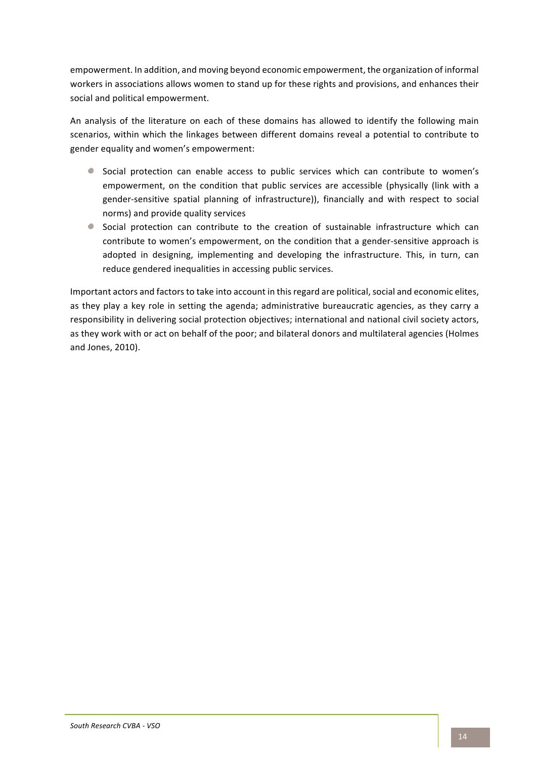empowerment. In addition, and moving beyond economic empowerment, the organization of informal workers in associations allows women to stand up for these rights and provisions, and enhances their social and political empowerment.

An analysis of the literature on each of these domains has allowed to identify the following main scenarios, within which the linkages between different domains reveal a potential to contribute to gender equality and women's empowerment:

- $\bullet$ Social protection can enable access to public services which can contribute to women's empowerment, on the condition that public services are accessible (physically (link with a gender-sensitive spatial planning of infrastructure)), financially and with respect to social norms) and provide quality services
- Social protection can contribute to the creation of sustainable infrastructure which can contribute to women's empowerment, on the condition that a gender-sensitive approach is adopted in designing, implementing and developing the infrastructure. This, in turn, can reduce gendered inequalities in accessing public services.

Important actors and factors to take into account in this regard are political, social and economic elites, as they play a key role in setting the agenda; administrative bureaucratic agencies, as they carry a responsibility in delivering social protection objectives; international and national civil society actors, as they work with or act on behalf of the poor; and bilateral donors and multilateral agencies (Holmes and Jones, 2010).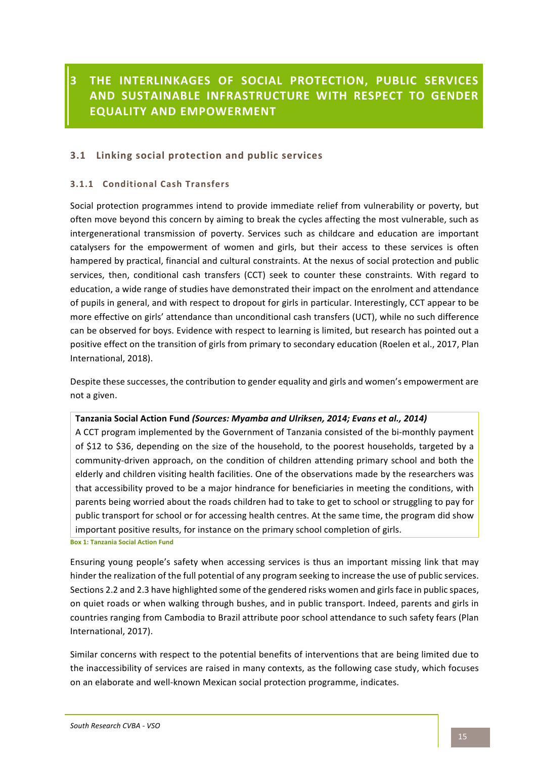# **3 THE INTERLINKAGES OF SOCIAL PROTECTION, PUBLIC SERVICES AND SUSTAINABLE INFRASTRUCTURE WITH RESPECT TO GENDER EQUALITY AND EMPOWERMENT**

# **3.1 Linking social protection and public services**

### **3.1.1 Conditional Cash Transfers**

Social protection programmes intend to provide immediate relief from vulnerability or poverty, but often move beyond this concern by aiming to break the cycles affecting the most vulnerable, such as intergenerational transmission of poverty. Services such as childcare and education are important catalysers for the empowerment of women and girls, but their access to these services is often hampered by practical, financial and cultural constraints. At the nexus of social protection and public services, then, conditional cash transfers (CCT) seek to counter these constraints. With regard to education, a wide range of studies have demonstrated their impact on the enrolment and attendance of pupils in general, and with respect to dropout for girls in particular. Interestingly, CCT appear to be more effective on girls' attendance than unconditional cash transfers (UCT), while no such difference can be observed for boys. Evidence with respect to learning is limited, but research has pointed out a positive effect on the transition of girls from primary to secondary education (Roelen et al., 2017, Plan International, 2018).

Despite these successes, the contribution to gender equality and girls and women's empowerment are not a given.

#### Tanzania Social Action Fund (Sources: Myamba and Ulriksen, 2014; Evans et al., 2014)

A CCT program implemented by the Government of Tanzania consisted of the bi-monthly payment of \$12 to \$36, depending on the size of the household, to the poorest households, targeted by a community-driven approach, on the condition of children attending primary school and both the elderly and children visiting health facilities. One of the observations made by the researchers was that accessibility proved to be a major hindrance for beneficiaries in meeting the conditions, with parents being worried about the roads children had to take to get to school or struggling to pay for public transport for school or for accessing health centres. At the same time, the program did show important positive results, for instance on the primary school completion of girls.

**Box 1: Tanzania Social Action Fund** 

Ensuring young people's safety when accessing services is thus an important missing link that may hinder the realization of the full potential of any program seeking to increase the use of public services. Sections 2.2 and 2.3 have highlighted some of the gendered risks women and girls face in public spaces, on quiet roads or when walking through bushes, and in public transport. Indeed, parents and girls in countries ranging from Cambodia to Brazil attribute poor school attendance to such safety fears (Plan International, 2017).

Similar concerns with respect to the potential benefits of interventions that are being limited due to the inaccessibility of services are raised in many contexts, as the following case study, which focuses on an elaborate and well-known Mexican social protection programme, indicates.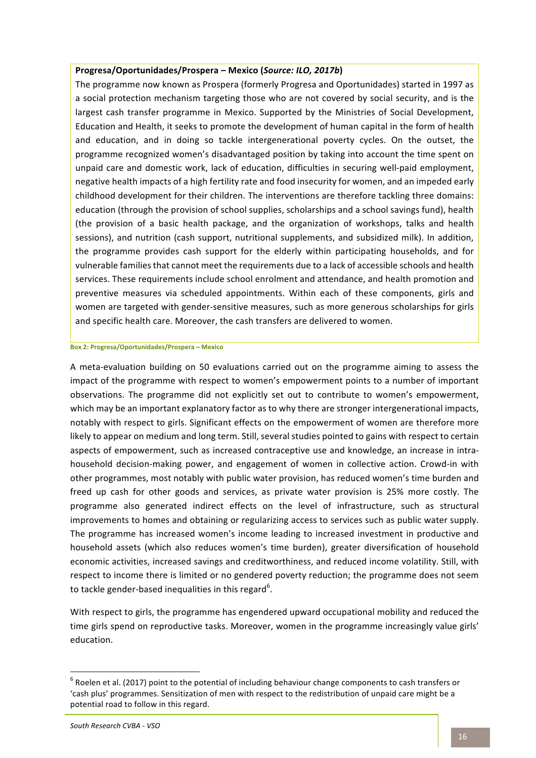#### **Progresa/Oportunidades/Prospera – Mexico (***Source: ILO, 2017b***)**

The programme now known as Prospera (formerly Progresa and Oportunidades) started in 1997 as a social protection mechanism targeting those who are not covered by social security, and is the largest cash transfer programme in Mexico. Supported by the Ministries of Social Development, Education and Health, it seeks to promote the development of human capital in the form of health and education, and in doing so tackle intergenerational poverty cycles. On the outset, the programme recognized women's disadvantaged position by taking into account the time spent on unpaid care and domestic work, lack of education, difficulties in securing well-paid employment, negative health impacts of a high fertility rate and food insecurity for women, and an impeded early childhood development for their children. The interventions are therefore tackling three domains: education (through the provision of school supplies, scholarships and a school savings fund), health (the provision of a basic health package, and the organization of workshops, talks and health sessions), and nutrition (cash support, nutritional supplements, and subsidized milk). In addition, the programme provides cash support for the elderly within participating households, and for vulnerable families that cannot meet the requirements due to a lack of accessible schools and health services. These requirements include school enrolment and attendance, and health promotion and preventive measures via scheduled appointments. Within each of these components, girls and women are targeted with gender-sensitive measures, such as more generous scholarships for girls and specific health care. Moreover, the cash transfers are delivered to women.

#### **Box 2: Progresa/Oportunidades/Prospera – Mexico**

A meta-evaluation building on 50 evaluations carried out on the programme aiming to assess the impact of the programme with respect to women's empowerment points to a number of important observations. The programme did not explicitly set out to contribute to women's empowerment, which may be an important explanatory factor as to why there are stronger intergenerational impacts, notably with respect to girls. Significant effects on the empowerment of women are therefore more likely to appear on medium and long term. Still, several studies pointed to gains with respect to certain aspects of empowerment, such as increased contraceptive use and knowledge, an increase in intrahousehold decision-making power, and engagement of women in collective action. Crowd-in with other programmes, most notably with public water provision, has reduced women's time burden and freed up cash for other goods and services, as private water provision is 25% more costly. The programme also generated indirect effects on the level of infrastructure, such as structural improvements to homes and obtaining or regularizing access to services such as public water supply. The programme has increased women's income leading to increased investment in productive and household assets (which also reduces women's time burden), greater diversification of household economic activities, increased savings and creditworthiness, and reduced income volatility. Still, with respect to income there is limited or no gendered poverty reduction; the programme does not seem to tackle gender-based inequalities in this regard $^6$ .

With respect to girls, the programme has engendered upward occupational mobility and reduced the time girls spend on reproductive tasks. Moreover, women in the programme increasingly value girls' education. 

 $6$  Roelen et al. (2017) point to the potential of including behaviour change components to cash transfers or 'cash plus' programmes. Sensitization of men with respect to the redistribution of unpaid care might be a potential road to follow in this regard.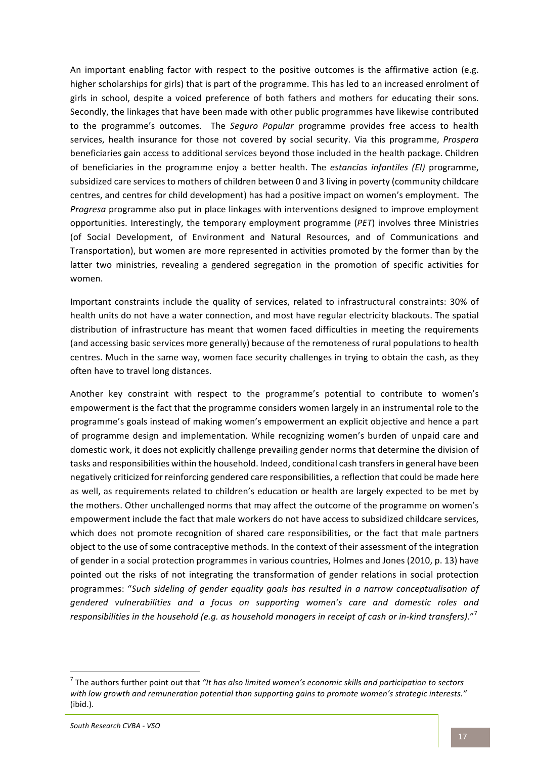An important enabling factor with respect to the positive outcomes is the affirmative action (e.g. higher scholarships for girls) that is part of the programme. This has led to an increased enrolment of girls in school, despite a voiced preference of both fathers and mothers for educating their sons. Secondly, the linkages that have been made with other public programmes have likewise contributed to the programme's outcomes. The *Seguro Popular* programme provides free access to health services, health insurance for those not covered by social security. Via this programme, Prospera beneficiaries gain access to additional services beyond those included in the health package. Children of beneficiaries in the programme enjoy a better health. The *estancias infantiles (EI)* programme, subsidized care services to mothers of children between 0 and 3 living in poverty (community childcare centres, and centres for child development) has had a positive impact on women's employment. The *Progresa* programme also put in place linkages with interventions designed to improve employment opportunities. Interestingly, the temporary employment programme (PET) involves three Ministries (of Social Development, of Environment and Natural Resources, and of Communications and Transportation), but women are more represented in activities promoted by the former than by the latter two ministries, revealing a gendered segregation in the promotion of specific activities for women. 

Important constraints include the quality of services, related to infrastructural constraints: 30% of health units do not have a water connection, and most have regular electricity blackouts. The spatial distribution of infrastructure has meant that women faced difficulties in meeting the requirements (and accessing basic services more generally) because of the remoteness of rural populations to health centres. Much in the same way, women face security challenges in trying to obtain the cash, as they often have to travel long distances.

Another key constraint with respect to the programme's potential to contribute to women's empowerment is the fact that the programme considers women largely in an instrumental role to the programme's goals instead of making women's empowerment an explicit objective and hence a part of programme design and implementation. While recognizing women's burden of unpaid care and domestic work, it does not explicitly challenge prevailing gender norms that determine the division of tasks and responsibilities within the household. Indeed, conditional cash transfers in general have been negatively criticized for reinforcing gendered care responsibilities, a reflection that could be made here as well, as requirements related to children's education or health are largely expected to be met by the mothers. Other unchallenged norms that may affect the outcome of the programme on women's empowerment include the fact that male workers do not have access to subsidized childcare services, which does not promote recognition of shared care responsibilities, or the fact that male partners object to the use of some contraceptive methods. In the context of their assessment of the integration of gender in a social protection programmes in various countries, Holmes and Jones (2010, p. 13) have pointed out the risks of not integrating the transformation of gender relations in social protection programmes: "Such sideling of gender equality goals has resulted in a narrow conceptualisation of gendered vulnerabilities and a focus on supporting women's care and domestic roles and responsibilities in the household (e.g. as household managers in receipt of cash or in-kind transfers)."<sup>7</sup>

 $<sup>7</sup>$  The authors further point out that *"It has also limited women's economic skills and participation to sectors*</sup> with low growth and remuneration potential than supporting gains to promote women's strategic interests." (ibid.).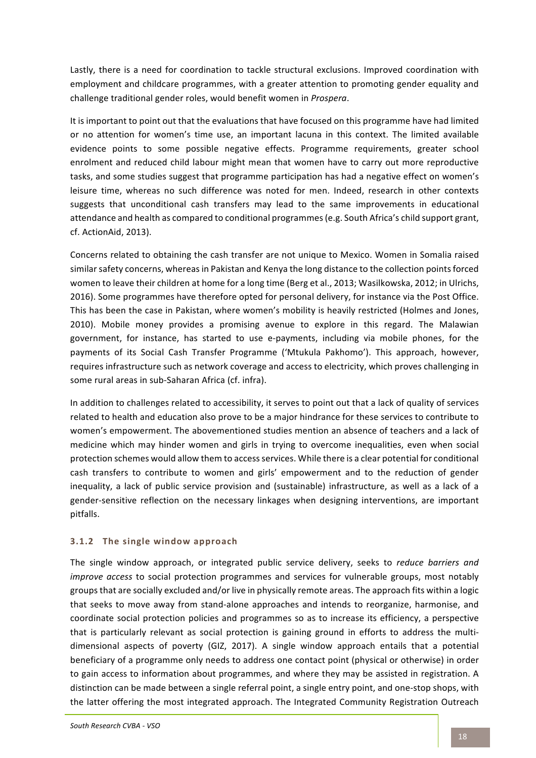Lastly, there is a need for coordination to tackle structural exclusions. Improved coordination with employment and childcare programmes, with a greater attention to promoting gender equality and challenge traditional gender roles, would benefit women in *Prospera*.

It is important to point out that the evaluations that have focused on this programme have had limited or no attention for women's time use, an important lacuna in this context. The limited available evidence points to some possible negative effects. Programme requirements, greater school enrolment and reduced child labour might mean that women have to carry out more reproductive tasks, and some studies suggest that programme participation has had a negative effect on women's leisure time, whereas no such difference was noted for men. Indeed, research in other contexts suggests that unconditional cash transfers may lead to the same improvements in educational attendance and health as compared to conditional programmes (e.g. South Africa's child support grant, cf. ActionAid, 2013).

Concerns related to obtaining the cash transfer are not unique to Mexico. Women in Somalia raised similar safety concerns, whereas in Pakistan and Kenya the long distance to the collection points forced women to leave their children at home for a long time (Berg et al., 2013; Wasilkowska, 2012; in Ulrichs, 2016). Some programmes have therefore opted for personal delivery, for instance via the Post Office. This has been the case in Pakistan, where women's mobility is heavily restricted (Holmes and Jones, 2010). Mobile money provides a promising avenue to explore in this regard. The Malawian government, for instance, has started to use e-payments, including via mobile phones, for the payments of its Social Cash Transfer Programme ('Mtukula Pakhomo'). This approach, however, requires infrastructure such as network coverage and access to electricity, which proves challenging in some rural areas in sub-Saharan Africa (cf. infra).

In addition to challenges related to accessibility, it serves to point out that a lack of quality of services related to health and education also prove to be a major hindrance for these services to contribute to women's empowerment. The abovementioned studies mention an absence of teachers and a lack of medicine which may hinder women and girls in trying to overcome inequalities, even when social protection schemes would allow them to access services. While there is a clear potential for conditional cash transfers to contribute to women and girls' empowerment and to the reduction of gender inequality, a lack of public service provision and (sustainable) infrastructure, as well as a lack of a gender-sensitive reflection on the necessary linkages when designing interventions, are important pitfalls. 

# **3.1.2** The single window approach

The single window approach, or integrated public service delivery, seeks to *reduce barriers and improve access* to social protection programmes and services for vulnerable groups, most notably groups that are socially excluded and/or live in physically remote areas. The approach fits within a logic that seeks to move away from stand-alone approaches and intends to reorganize, harmonise, and coordinate social protection policies and programmes so as to increase its efficiency, a perspective that is particularly relevant as social protection is gaining ground in efforts to address the multidimensional aspects of poverty (GIZ, 2017). A single window approach entails that a potential beneficiary of a programme only needs to address one contact point (physical or otherwise) in order to gain access to information about programmes, and where they may be assisted in registration. A distinction can be made between a single referral point, a single entry point, and one-stop shops, with the latter offering the most integrated approach. The Integrated Community Registration Outreach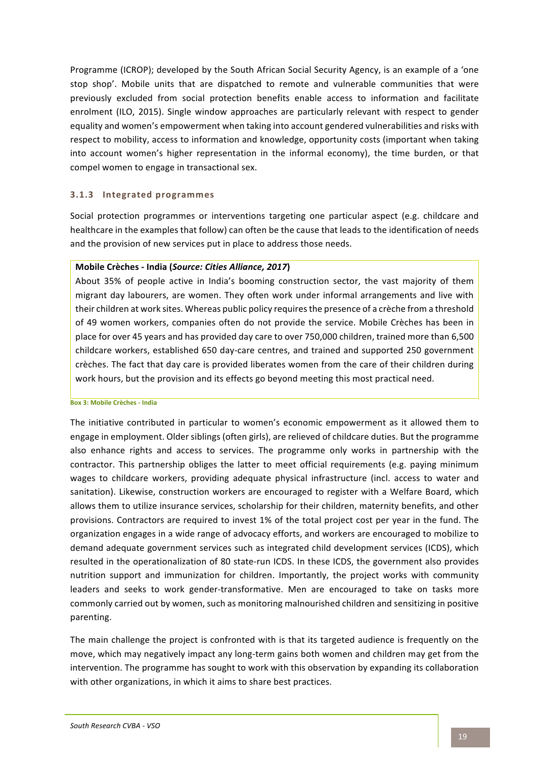Programme (ICROP); developed by the South African Social Security Agency, is an example of a 'one stop shop'. Mobile units that are dispatched to remote and vulnerable communities that were previously excluded from social protection benefits enable access to information and facilitate enrolment (ILO, 2015). Single window approaches are particularly relevant with respect to gender equality and women's empowerment when taking into account gendered vulnerabilities and risks with respect to mobility, access to information and knowledge, opportunity costs (important when taking into account women's higher representation in the informal economy), the time burden, or that compel women to engage in transactional sex.

#### **3.1.3 Integrated programmes**

Social protection programmes or interventions targeting one particular aspect (e.g. childcare and healthcare in the examples that follow) can often be the cause that leads to the identification of needs and the provision of new services put in place to address those needs.

#### **Mobile Crèches - India (***Source: Cities Alliance, 2017***)**

About 35% of people active in India's booming construction sector, the vast majority of them migrant day labourers, are women. They often work under informal arrangements and live with their children at work sites. Whereas public policy requires the presence of a crèche from a threshold of 49 women workers, companies often do not provide the service. Mobile Crèches has been in place for over 45 years and has provided day care to over 750,000 children, trained more than 6,500 childcare workers, established 650 day-care centres, and trained and supported 250 government crèches. The fact that day care is provided liberates women from the care of their children during work hours, but the provision and its effects go beyond meeting this most practical need.

**Box 3: Mobile Crèches - India**

The initiative contributed in particular to women's economic empowerment as it allowed them to engage in employment. Older siblings (often girls), are relieved of childcare duties. But the programme also enhance rights and access to services. The programme only works in partnership with the contractor. This partnership obliges the latter to meet official requirements (e.g. paying minimum wages to childcare workers, providing adequate physical infrastructure (incl. access to water and sanitation). Likewise, construction workers are encouraged to register with a Welfare Board, which allows them to utilize insurance services, scholarship for their children, maternity benefits, and other provisions. Contractors are required to invest 1% of the total project cost per year in the fund. The organization engages in a wide range of advocacy efforts, and workers are encouraged to mobilize to demand adequate government services such as integrated child development services (ICDS), which resulted in the operationalization of 80 state-run ICDS. In these ICDS, the government also provides nutrition support and immunization for children. Importantly, the project works with community leaders and seeks to work gender-transformative. Men are encouraged to take on tasks more commonly carried out by women, such as monitoring malnourished children and sensitizing in positive parenting.

The main challenge the project is confronted with is that its targeted audience is frequently on the move, which may negatively impact any long-term gains both women and children may get from the intervention. The programme has sought to work with this observation by expanding its collaboration with other organizations, in which it aims to share best practices.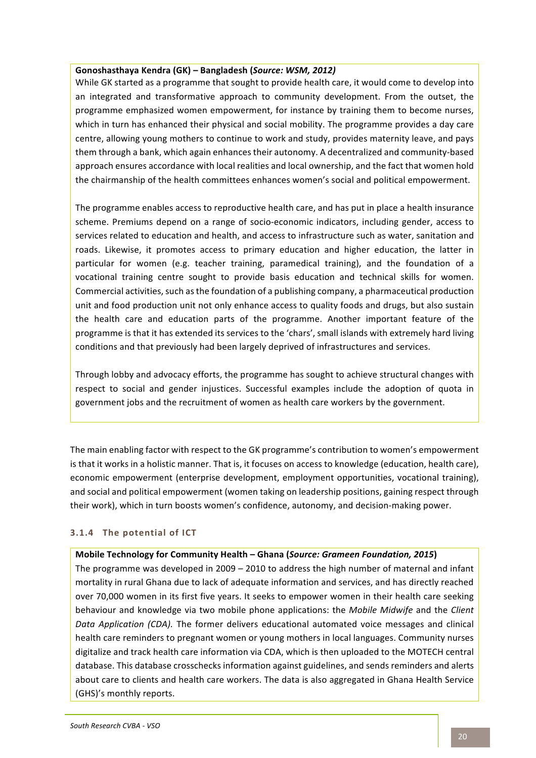#### **Gonoshasthaya Kendra (GK) – Bangladesh (***Source: WSM, 2012)*

While GK started as a programme that sought to provide health care, it would come to develop into an integrated and transformative approach to community development. From the outset, the programme emphasized women empowerment, for instance by training them to become nurses, which in turn has enhanced their physical and social mobility. The programme provides a day care centre, allowing young mothers to continue to work and study, provides maternity leave, and pays them through a bank, which again enhances their autonomy. A decentralized and community-based approach ensures accordance with local realities and local ownership, and the fact that women hold the chairmanship of the health committees enhances women's social and political empowerment.

The programme enables access to reproductive health care, and has put in place a health insurance scheme. Premiums depend on a range of socio-economic indicators, including gender, access to services related to education and health, and access to infrastructure such as water, sanitation and roads. Likewise, it promotes access to primary education and higher education, the latter in particular for women (e.g. teacher training, paramedical training), and the foundation of a vocational training centre sought to provide basis education and technical skills for women. Commercial activities, such as the foundation of a publishing company, a pharmaceutical production unit and food production unit not only enhance access to quality foods and drugs, but also sustain the health care and education parts of the programme. Another important feature of the programme is that it has extended its services to the 'chars', small islands with extremely hard living conditions and that previously had been largely deprived of infrastructures and services.

Through lobby and advocacy efforts, the programme has sought to achieve structural changes with respect to social and gender injustices. Successful examples include the adoption of quota in government jobs and the recruitment of women as health care workers by the government.

The main enabling factor with respect to the GK programme's contribution to women's empowerment is that it works in a holistic manner. That is, it focuses on access to knowledge (education, health care), economic empowerment (enterprise development, employment opportunities, vocational training), and social and political empowerment (women taking on leadership positions, gaining respect through their work), which in turn boosts women's confidence, autonomy, and decision-making power.

# **3.1.4** The potential of ICT

#### **Mobile Technology for Community Health – Ghana (Source: Grameen Foundation, 2015)**

The programme was developed in  $2009 - 2010$  to address the high number of maternal and infant mortality in rural Ghana due to lack of adequate information and services, and has directly reached over 70,000 women in its first five years. It seeks to empower women in their health care seeking behaviour and knowledge via two mobile phone applications: the *Mobile Midwife* and the *Client* Data Application (CDA). The former delivers educational automated voice messages and clinical health care reminders to pregnant women or young mothers in local languages. Community nurses digitalize and track health care information via CDA, which is then uploaded to the MOTECH central database. This database crosschecks information against guidelines, and sends reminders and alerts about care to clients and health care workers. The data is also aggregated in Ghana Health Service (GHS)'s monthly reports.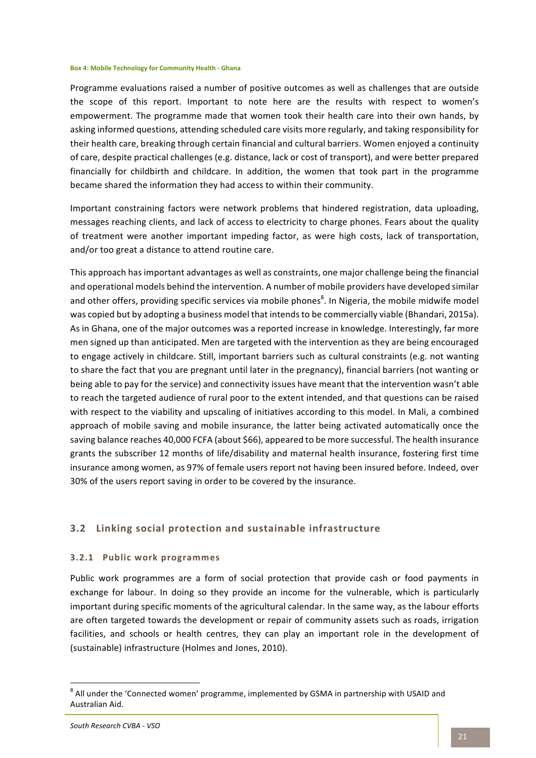#### **Box 4: Mobile Technology for Community Health - Ghana**

Programme evaluations raised a number of positive outcomes as well as challenges that are outside the scope of this report. Important to note here are the results with respect to women's empowerment. The programme made that women took their health care into their own hands, by asking informed questions, attending scheduled care visits more regularly, and taking responsibility for their health care, breaking through certain financial and cultural barriers. Women enjoyed a continuity of care, despite practical challenges (e.g. distance, lack or cost of transport), and were better prepared financially for childbirth and childcare. In addition, the women that took part in the programme became shared the information they had access to within their community.

Important constraining factors were network problems that hindered registration, data uploading, messages reaching clients, and lack of access to electricity to charge phones. Fears about the quality of treatment were another important impeding factor, as were high costs, lack of transportation, and/or too great a distance to attend routine care.

This approach has important advantages as well as constraints, one major challenge being the financial and operational models behind the intervention. A number of mobile providers have developed similar and other offers, providing specific services via mobile phones<sup>8</sup>. In Nigeria, the mobile midwife model was copied but by adopting a business model that intends to be commercially viable (Bhandari, 2015a). As in Ghana, one of the major outcomes was a reported increase in knowledge. Interestingly, far more men signed up than anticipated. Men are targeted with the intervention as they are being encouraged to engage actively in childcare. Still, important barriers such as cultural constraints (e.g. not wanting to share the fact that you are pregnant until later in the pregnancy), financial barriers (not wanting or being able to pay for the service) and connectivity issues have meant that the intervention wasn't able to reach the targeted audience of rural poor to the extent intended, and that questions can be raised with respect to the viability and upscaling of initiatives according to this model. In Mali, a combined approach of mobile saving and mobile insurance, the latter being activated automatically once the saving balance reaches 40,000 FCFA (about \$66), appeared to be more successful. The health insurance grants the subscriber 12 months of life/disability and maternal health insurance, fostering first time insurance among women, as 97% of female users report not having been insured before. Indeed, over 30% of the users report saving in order to be covered by the insurance.

# **3.2** Linking social protection and sustainable infrastructure

#### **3.2.1 Public work programmes**

Public work programmes are a form of social protection that provide cash or food payments in exchange for labour. In doing so they provide an income for the vulnerable, which is particularly important during specific moments of the agricultural calendar. In the same way, as the labour efforts are often targeted towards the development or repair of community assets such as roads, irrigation facilities, and schools or health centres, they can play an important role in the development of (sustainable) infrastructure (Holmes and Jones, 2010).

 $^8$  All under the 'Connected women' programme, implemented by GSMA in partnership with USAID and Australian Aid.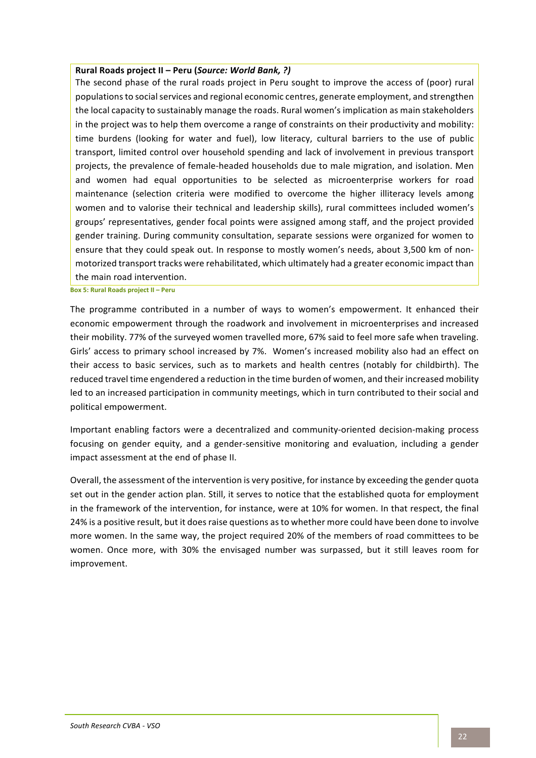#### **Rural Roads project II – Peru (***Source: World Bank, ?)*

The second phase of the rural roads project in Peru sought to improve the access of (poor) rural populations to social services and regional economic centres, generate employment, and strengthen the local capacity to sustainably manage the roads. Rural women's implication as main stakeholders in the project was to help them overcome a range of constraints on their productivity and mobility: time burdens (looking for water and fuel), low literacy, cultural barriers to the use of public transport, limited control over household spending and lack of involvement in previous transport projects, the prevalence of female-headed households due to male migration, and isolation. Men and women had equal opportunities to be selected as microenterprise workers for road maintenance (selection criteria were modified to overcome the higher illiteracy levels among women and to valorise their technical and leadership skills), rural committees included women's groups' representatives, gender focal points were assigned among staff, and the project provided gender training. During community consultation, separate sessions were organized for women to ensure that they could speak out. In response to mostly women's needs, about 3,500 km of nonmotorized transport tracks were rehabilitated, which ultimately had a greater economic impact than the main road intervention.

**Box 5: Rural Roads project II – Peru**

The programme contributed in a number of ways to women's empowerment. It enhanced their economic empowerment through the roadwork and involvement in microenterprises and increased their mobility. 77% of the surveyed women travelled more, 67% said to feel more safe when traveling. Girls' access to primary school increased by 7%. Women's increased mobility also had an effect on their access to basic services, such as to markets and health centres (notably for childbirth). The reduced travel time engendered a reduction in the time burden of women, and their increased mobility led to an increased participation in community meetings, which in turn contributed to their social and political empowerment.

Important enabling factors were a decentralized and community-oriented decision-making process focusing on gender equity, and a gender-sensitive monitoring and evaluation, including a gender impact assessment at the end of phase II.

Overall, the assessment of the intervention is very positive, for instance by exceeding the gender quota set out in the gender action plan. Still, it serves to notice that the established quota for employment in the framework of the intervention, for instance, were at 10% for women. In that respect, the final 24% is a positive result, but it does raise questions as to whether more could have been done to involve more women. In the same way, the project required 20% of the members of road committees to be women. Once more, with 30% the envisaged number was surpassed, but it still leaves room for improvement.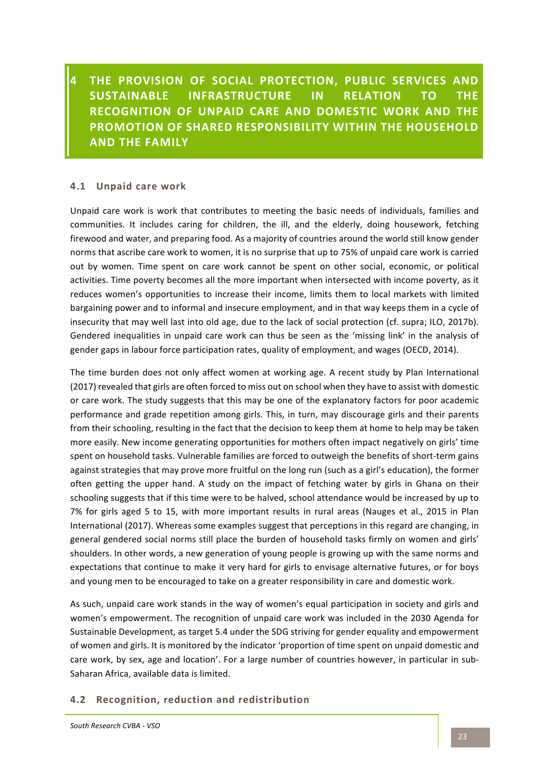**4 THE PROVISION OF SOCIAL PROTECTION, PUBLIC SERVICES AND** SUSTAINABLE INFRASTRUCTURE IN RELATION TO THE **RECOGNITION OF UNPAID CARE AND DOMESTIC WORK AND THE PROMOTION OF SHARED RESPONSIBILITY WITHIN THE HOUSEHOLD AND THE FAMILY** 

### **4.1 Unpaid care work**

Unpaid care work is work that contributes to meeting the basic needs of individuals, families and communities. It includes caring for children, the ill, and the elderly, doing housework, fetching firewood and water, and preparing food. As a majority of countries around the world still know gender norms that ascribe care work to women, it is no surprise that up to 75% of unpaid care work is carried out by women. Time spent on care work cannot be spent on other social, economic, or political activities. Time poverty becomes all the more important when intersected with income poverty, as it reduces women's opportunities to increase their income, limits them to local markets with limited bargaining power and to informal and insecure employment, and in that way keeps them in a cycle of insecurity that may well last into old age, due to the lack of social protection (cf. supra; ILO, 2017b). Gendered inequalities in unpaid care work can thus be seen as the 'missing link' in the analysis of gender gaps in labour force participation rates, quality of employment, and wages (OECD, 2014).

The time burden does not only affect women at working age. A recent study by Plan International (2017) revealed that girls are often forced to miss out on school when they have to assist with domestic or care work. The study suggests that this may be one of the explanatory factors for poor academic performance and grade repetition among girls. This, in turn, may discourage girls and their parents from their schooling, resulting in the fact that the decision to keep them at home to help may be taken more easily. New income generating opportunities for mothers often impact negatively on girls' time spent on household tasks. Vulnerable families are forced to outweigh the benefits of short-term gains against strategies that may prove more fruitful on the long run (such as a girl's education), the former often getting the upper hand. A study on the impact of fetching water by girls in Ghana on their schooling suggests that if this time were to be halved, school attendance would be increased by up to 7% for girls aged 5 to 15, with more important results in rural areas (Nauges et al., 2015 in Plan International (2017). Whereas some examples suggest that perceptions in this regard are changing, in general gendered social norms still place the burden of household tasks firmly on women and girls' shoulders. In other words, a new generation of young people is growing up with the same norms and expectations that continue to make it very hard for girls to envisage alternative futures, or for boys and young men to be encouraged to take on a greater responsibility in care and domestic work.

As such, unpaid care work stands in the way of women's equal participation in society and girls and women's empowerment. The recognition of unpaid care work was included in the 2030 Agenda for Sustainable Development, as target 5.4 under the SDG striving for gender equality and empowerment of women and girls. It is monitored by the indicator 'proportion of time spent on unpaid domestic and care work, by sex, age and location'. For a large number of countries however, in particular in sub-Saharan Africa, available data is limited.

#### **4.2** Recognition, reduction and redistribution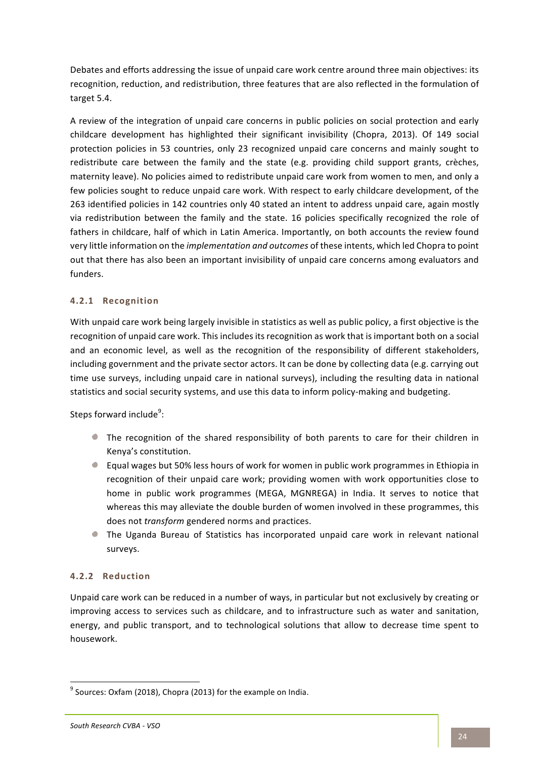Debates and efforts addressing the issue of unpaid care work centre around three main objectives: its recognition, reduction, and redistribution, three features that are also reflected in the formulation of target 5.4.

A review of the integration of unpaid care concerns in public policies on social protection and early childcare development has highlighted their significant invisibility (Chopra, 2013). Of 149 social protection policies in 53 countries, only 23 recognized unpaid care concerns and mainly sought to redistribute care between the family and the state (e.g. providing child support grants, crèches, maternity leave). No policies aimed to redistribute unpaid care work from women to men, and only a few policies sought to reduce unpaid care work. With respect to early childcare development, of the 263 identified policies in 142 countries only 40 stated an intent to address unpaid care, again mostly via redistribution between the family and the state. 16 policies specifically recognized the role of fathers in childcare, half of which in Latin America. Importantly, on both accounts the review found very little information on the *implementation and outcomes* of these intents, which led Chopra to point out that there has also been an important invisibility of unpaid care concerns among evaluators and funders. 

# **4.2.1 Recognition**

With unpaid care work being largely invisible in statistics as well as public policy, a first objective is the recognition of unpaid care work. This includes its recognition as work that is important both on a social and an economic level, as well as the recognition of the responsibility of different stakeholders, including government and the private sector actors. It can be done by collecting data (e.g. carrying out time use surveys, including unpaid care in national surveys), including the resulting data in national statistics and social security systems, and use this data to inform policy-making and budgeting.

Steps forward include<sup>9</sup>:

- The recognition of the shared responsibility of both parents to care for their children in Kenya's constitution.
- Equal wages but 50% less hours of work for women in public work programmes in Ethiopia in recognition of their unpaid care work; providing women with work opportunities close to home in public work programmes (MEGA, MGNREGA) in India. It serves to notice that whereas this may alleviate the double burden of women involved in these programmes, this does not *transform* gendered norms and practices.
- The Uganda Bureau of Statistics has incorporated unpaid care work in relevant national surveys.

# **4.2.2 Reduction**

Unpaid care work can be reduced in a number of ways, in particular but not exclusively by creating or improving access to services such as childcare, and to infrastructure such as water and sanitation, energy, and public transport, and to technological solutions that allow to decrease time spent to housework. 

 $9$  Sources: Oxfam (2018), Chopra (2013) for the example on India.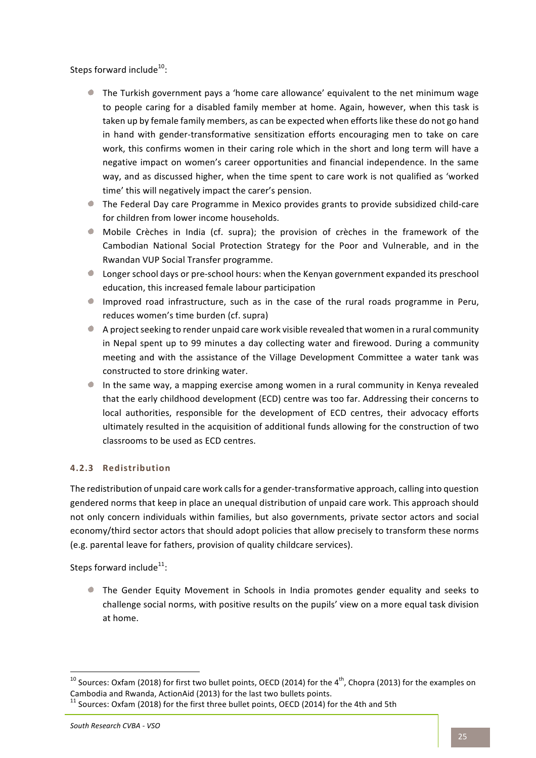Steps forward include $^{10}$ :

- If the Turkish government pays a 'home care allowance' equivalent to the net minimum wage to people caring for a disabled family member at home. Again, however, when this task is taken up by female family members, as can be expected when efforts like these do not go hand in hand with gender-transformative sensitization efforts encouraging men to take on care work, this confirms women in their caring role which in the short and long term will have a negative impact on women's career opportunities and financial independence. In the same way, and as discussed higher, when the time spent to care work is not qualified as 'worked time' this will negatively impact the carer's pension.
- $\bullet$  The Federal Day care Programme in Mexico provides grants to provide subsidized child-care for children from lower income households.
- Mobile Crèches in India (cf. supra); the provision of crèches in the framework of the Cambodian National Social Protection Strategy for the Poor and Vulnerable, and in the Rwandan VUP Social Transfer programme.
- $\bullet$  Longer school days or pre-school hours: when the Kenyan government expanded its preschool education, this increased female labour participation
- Improved road infrastructure, such as in the case of the rural roads programme in Peru, reduces women's time burden (cf. supra)
- A project seeking to render unpaid care work visible revealed that women in a rural community in Nepal spent up to 99 minutes a day collecting water and firewood. During a community meeting and with the assistance of the Village Development Committee a water tank was constructed to store drinking water.
- In the same way, a mapping exercise among women in a rural community in Kenya revealed that the early childhood development (ECD) centre was too far. Addressing their concerns to local authorities, responsible for the development of ECD centres, their advocacy efforts ultimately resulted in the acquisition of additional funds allowing for the construction of two classrooms to be used as ECD centres.

# **4.2.3 Redistribution**

The redistribution of unpaid care work calls for a gender-transformative approach, calling into question gendered norms that keep in place an unequal distribution of unpaid care work. This approach should not only concern individuals within families, but also governments, private sector actors and social economy/third sector actors that should adopt policies that allow precisely to transform these norms (e.g. parental leave for fathers, provision of quality childcare services).

Steps forward include $^{11}$ :

**The Gender Equity Movement in Schools in India promotes gender equality and seeks to** challenge social norms, with positive results on the pupils' view on a more equal task division at home.

 $^{10}$  Sources: Oxfam (2018) for first two bullet points, OECD (2014) for the 4<sup>th</sup>, Chopra (2013) for the examples on Cambodia and Rwanda, ActionAid (2013) for the last two bullets points.

 $11$  Sources: Oxfam (2018) for the first three bullet points, OECD (2014) for the 4th and 5th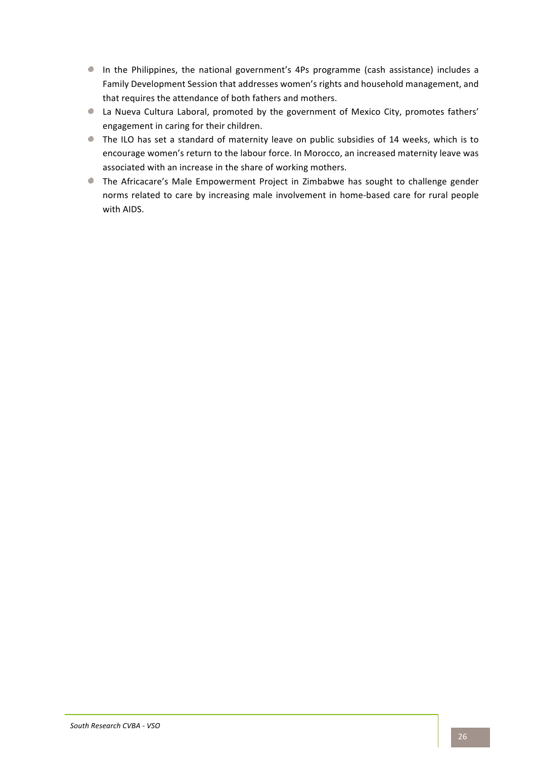- In the Philippines, the national government's 4Ps programme (cash assistance) includes a Family Development Session that addresses women's rights and household management, and that requires the attendance of both fathers and mothers.
- I La Nueva Cultura Laboral, promoted by the government of Mexico City, promotes fathers' engagement in caring for their children.
- The ILO has set a standard of maternity leave on public subsidies of 14 weeks, which is to encourage women's return to the labour force. In Morocco, an increased maternity leave was associated with an increase in the share of working mothers.
- The Africacare's Male Empowerment Project in Zimbabwe has sought to challenge gender norms related to care by increasing male involvement in home-based care for rural people with AIDS.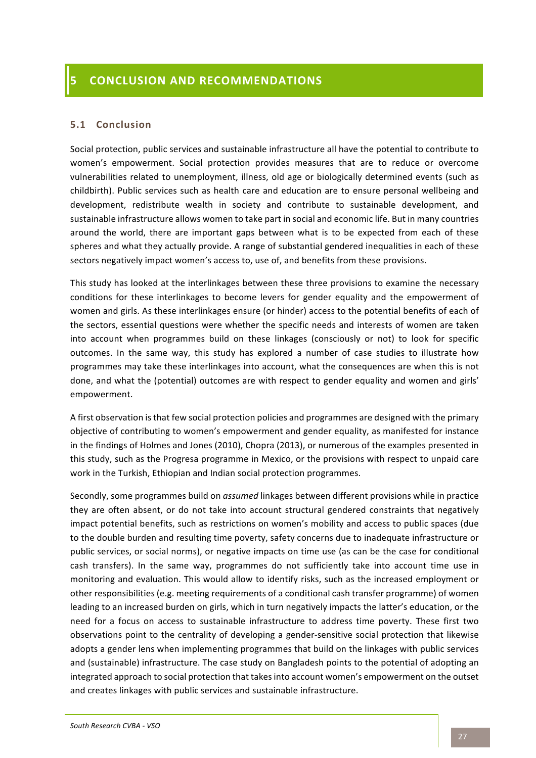### **5.1 Conclusion**

Social protection, public services and sustainable infrastructure all have the potential to contribute to women's empowerment. Social protection provides measures that are to reduce or overcome vulnerabilities related to unemployment, illness, old age or biologically determined events (such as childbirth). Public services such as health care and education are to ensure personal wellbeing and development, redistribute wealth in society and contribute to sustainable development, and sustainable infrastructure allows women to take part in social and economic life. But in many countries around the world, there are important gaps between what is to be expected from each of these spheres and what they actually provide. A range of substantial gendered inequalities in each of these sectors negatively impact women's access to, use of, and benefits from these provisions.

This study has looked at the interlinkages between these three provisions to examine the necessary conditions for these interlinkages to become levers for gender equality and the empowerment of women and girls. As these interlinkages ensure (or hinder) access to the potential benefits of each of the sectors, essential questions were whether the specific needs and interests of women are taken into account when programmes build on these linkages (consciously or not) to look for specific outcomes. In the same way, this study has explored a number of case studies to illustrate how programmes may take these interlinkages into account, what the consequences are when this is not done, and what the (potential) outcomes are with respect to gender equality and women and girls' empowerment. 

A first observation is that few social protection policies and programmes are designed with the primary objective of contributing to women's empowerment and gender equality, as manifested for instance in the findings of Holmes and Jones (2010), Chopra (2013), or numerous of the examples presented in this study, such as the Progresa programme in Mexico, or the provisions with respect to unpaid care work in the Turkish, Ethiopian and Indian social protection programmes.

Secondly, some programmes build on *assumed* linkages between different provisions while in practice they are often absent, or do not take into account structural gendered constraints that negatively impact potential benefits, such as restrictions on women's mobility and access to public spaces (due to the double burden and resulting time poverty, safety concerns due to inadequate infrastructure or public services, or social norms), or negative impacts on time use (as can be the case for conditional cash transfers). In the same way, programmes do not sufficiently take into account time use in monitoring and evaluation. This would allow to identify risks, such as the increased employment or other responsibilities (e.g. meeting requirements of a conditional cash transfer programme) of women leading to an increased burden on girls, which in turn negatively impacts the latter's education, or the need for a focus on access to sustainable infrastructure to address time poverty. These first two observations point to the centrality of developing a gender-sensitive social protection that likewise adopts a gender lens when implementing programmes that build on the linkages with public services and (sustainable) infrastructure. The case study on Bangladesh points to the potential of adopting an integrated approach to social protection that takes into account women's empowerment on the outset and creates linkages with public services and sustainable infrastructure.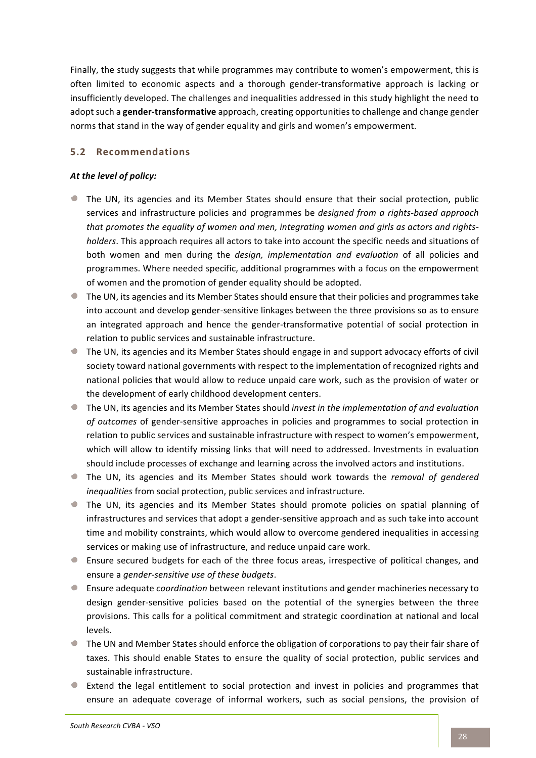Finally, the study suggests that while programmes may contribute to women's empowerment, this is often limited to economic aspects and a thorough gender-transformative approach is lacking or insufficiently developed. The challenges and inequalities addressed in this study highlight the need to adopt such a **gender-transformative** approach, creating opportunities to challenge and change gender norms that stand in the way of gender equality and girls and women's empowerment.

# **5.2 Recommendations**

### At the level of policy:

- If The UN, its agencies and its Member States should ensure that their social protection, public services and infrastructure policies and programmes be *designed from a rights-based approach* that promotes the equality of women and men, integrating women and girls as actors and rights*holders*. This approach requires all actors to take into account the specific needs and situations of both women and men during the *design, implementation and evaluation* of all policies and programmes. Where needed specific, additional programmes with a focus on the empowerment of women and the promotion of gender equality should be adopted.
- If the UN, its agencies and its Member States should ensure that their policies and programmes take into account and develop gender-sensitive linkages between the three provisions so as to ensure an integrated approach and hence the gender-transformative potential of social protection in relation to public services and sustainable infrastructure.
- The UN, its agencies and its Member States should engage in and support advocacy efforts of civil society toward national governments with respect to the implementation of recognized rights and national policies that would allow to reduce unpaid care work, such as the provision of water or the development of early childhood development centers.
- The UN, its agencies and its Member States should *invest in the implementation of and evaluation of outcomes* of gender-sensitive approaches in policies and programmes to social protection in relation to public services and sustainable infrastructure with respect to women's empowerment, which will allow to identify missing links that will need to addressed. Investments in evaluation should include processes of exchange and learning across the involved actors and institutions.
- The UN, its agencies and its Member States should work towards the *removal of gendered* inequalities from social protection, public services and infrastructure.
- If The UN, its agencies and its Member States should promote policies on spatial planning of infrastructures and services that adopt a gender-sensitive approach and as such take into account time and mobility constraints, which would allow to overcome gendered inequalities in accessing services or making use of infrastructure, and reduce unpaid care work.
- **E** Ensure secured budgets for each of the three focus areas, irrespective of political changes, and ensure a *gender-sensitive use of these budgets*.
- **E** Ensure adequate *coordination* between relevant institutions and gender machineries necessary to design gender-sensitive policies based on the potential of the synergies between the three provisions. This calls for a political commitment and strategic coordination at national and local levels.
- If The UN and Member States should enforce the obligation of corporations to pay their fair share of taxes. This should enable States to ensure the quality of social protection, public services and sustainable infrastructure.
- Extend the legal entitlement to social protection and invest in policies and programmes that ensure an adequate coverage of informal workers, such as social pensions, the provision of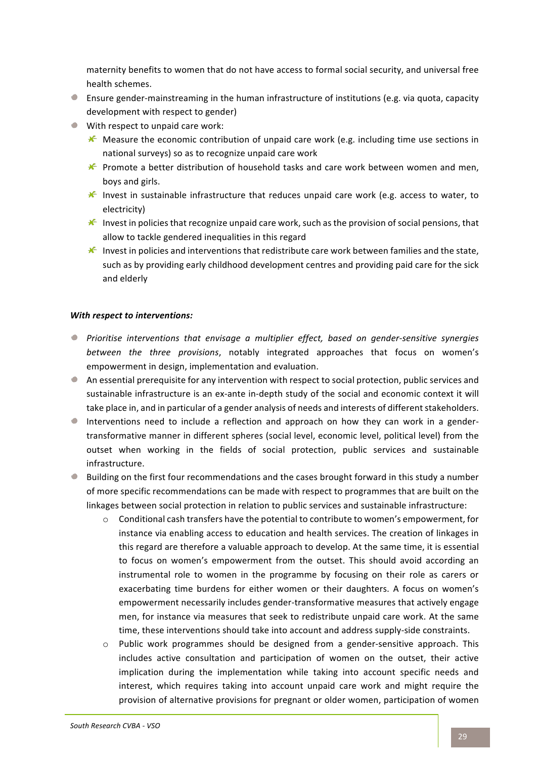maternity benefits to women that do not have access to formal social security, and universal free health schemes.

- **Ensure gender-mainstreaming in the human infrastructure of institutions (e.g. via quota, capacity** development with respect to gender)
- $\bullet$  With respect to unpaid care work:
	- $\mathcal K$  Measure the economic contribution of unpaid care work (e.g. including time use sections in national surveys) so as to recognize unpaid care work
	- $\mathcal K$  Promote a better distribution of household tasks and care work between women and men, boys and girls.
	- $\mathcal K$  Invest in sustainable infrastructure that reduces unpaid care work (e.g. access to water, to electricity)
	- $\mathcal K$  Invest in policies that recognize unpaid care work, such as the provision of social pensions, that allow to tackle gendered inequalities in this regard
	- $\mathcal K$  Invest in policies and interventions that redistribute care work between families and the state, such as by providing early childhood development centres and providing paid care for the sick and elderly

#### *With respect to interventions:*

- **P** Prioritise interventions that envisage a multiplier effect, based on gender-sensitive synergies *between the three provisions*, notably integrated approaches that focus on women's empowerment in design, implementation and evaluation.
- $\bullet$  An essential prerequisite for any intervention with respect to social protection, public services and sustainable infrastructure is an ex-ante in-depth study of the social and economic context it will take place in, and in particular of a gender analysis of needs and interests of different stakeholders.
- Interventions need to include a reflection and approach on how they can work in a gendertransformative manner in different spheres (social level, economic level, political level) from the outset when working in the fields of social protection, public services and sustainable infrastructure.
- $\bullet$  Building on the first four recommendations and the cases brought forward in this study a number of more specific recommendations can be made with respect to programmes that are built on the linkages between social protection in relation to public services and sustainable infrastructure:
	- $\circ$  Conditional cash transfers have the potential to contribute to women's empowerment, for instance via enabling access to education and health services. The creation of linkages in this regard are therefore a valuable approach to develop. At the same time, it is essential to focus on women's empowerment from the outset. This should avoid according an instrumental role to women in the programme by focusing on their role as carers or exacerbating time burdens for either women or their daughters. A focus on women's empowerment necessarily includes gender-transformative measures that actively engage men, for instance via measures that seek to redistribute unpaid care work. At the same time, these interventions should take into account and address supply-side constraints.
	- $\circ$  Public work programmes should be designed from a gender-sensitive approach. This includes active consultation and participation of women on the outset, their active implication during the implementation while taking into account specific needs and interest, which requires taking into account unpaid care work and might require the provision of alternative provisions for pregnant or older women, participation of women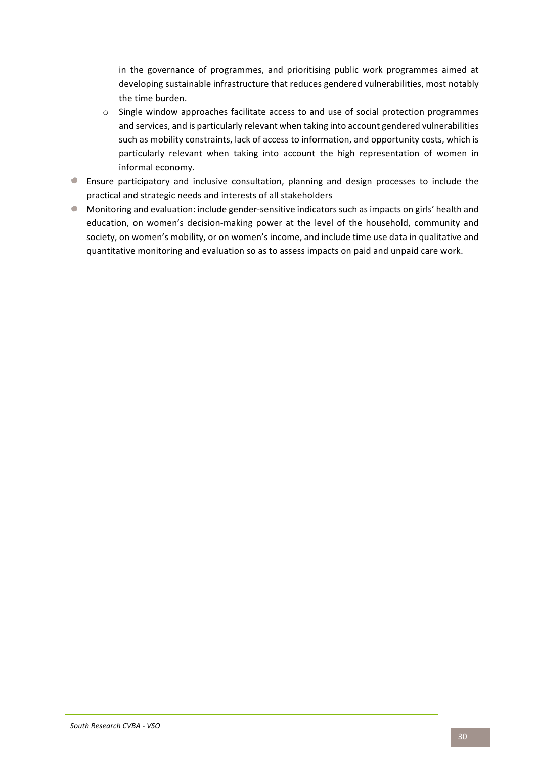in the governance of programmes, and prioritising public work programmes aimed at developing sustainable infrastructure that reduces gendered vulnerabilities, most notably the time burden.

- o Single window approaches facilitate access to and use of social protection programmes and services, and is particularly relevant when taking into account gendered vulnerabilities such as mobility constraints, lack of access to information, and opportunity costs, which is particularly relevant when taking into account the high representation of women in informal economy.
- **Ensure participatory and inclusive consultation, planning and design processes to include the** practical and strategic needs and interests of all stakeholders
- Monitoring and evaluation: include gender-sensitive indicators such as impacts on girls' health and education, on women's decision-making power at the level of the household, community and society, on women's mobility, or on women's income, and include time use data in qualitative and quantitative monitoring and evaluation so as to assess impacts on paid and unpaid care work.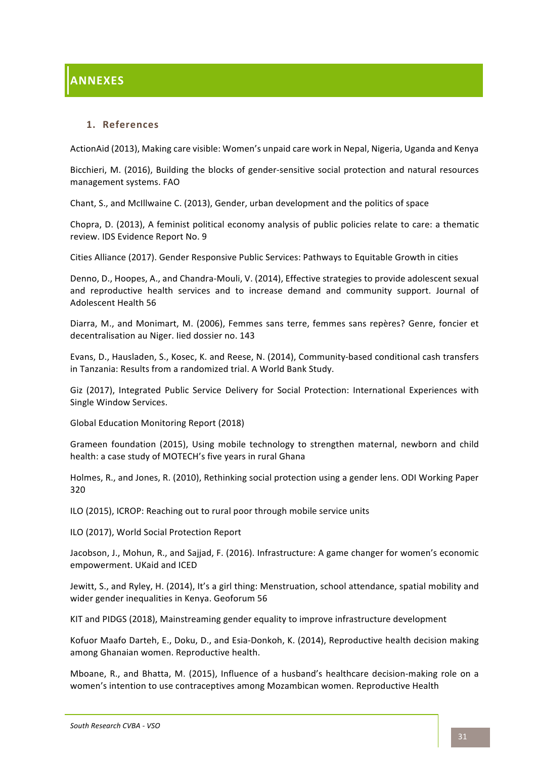### 1. **References**

ActionAid (2013), Making care visible: Women's unpaid care work in Nepal, Nigeria, Uganda and Kenya

Bicchieri, M. (2016), Building the blocks of gender-sensitive social protection and natural resources management systems. FAO

Chant, S., and McIllwaine C. (2013), Gender, urban development and the politics of space

Chopra, D. (2013), A feminist political economy analysis of public policies relate to care: a thematic review. IDS Evidence Report No. 9

Cities Alliance (2017). Gender Responsive Public Services: Pathways to Equitable Growth in cities

Denno, D., Hoopes, A., and Chandra-Mouli, V. (2014), Effective strategies to provide adolescent sexual and reproductive health services and to increase demand and community support. Journal of Adolescent Health 56 

Diarra, M., and Monimart, M. (2006), Femmes sans terre, femmes sans repères? Genre, foncier et decentralisation au Niger. lied dossier no. 143

Evans, D., Hausladen, S., Kosec, K. and Reese, N. (2014), Community-based conditional cash transfers in Tanzania: Results from a randomized trial. A World Bank Study.

Giz (2017), Integrated Public Service Delivery for Social Protection: International Experiences with Single Window Services.

Global Education Monitoring Report (2018)

Grameen foundation (2015), Using mobile technology to strengthen maternal, newborn and child health: a case study of MOTECH's five years in rural Ghana

Holmes, R., and Jones, R. (2010), Rethinking social protection using a gender lens. ODI Working Paper 320

ILO (2015), ICROP: Reaching out to rural poor through mobile service units

ILO (2017), World Social Protection Report

Jacobson, J., Mohun, R., and Sajjad, F. (2016). Infrastructure: A game changer for women's economic empowerment. UKaid and ICED

Jewitt, S., and Ryley, H. (2014), It's a girl thing: Menstruation, school attendance, spatial mobility and wider gender inequalities in Kenya. Geoforum 56

KIT and PIDGS (2018), Mainstreaming gender equality to improve infrastructure development

Kofuor Maafo Darteh, E., Doku, D., and Esia-Donkoh, K. (2014), Reproductive health decision making among Ghanaian women. Reproductive health.

Mboane, R., and Bhatta, M. (2015), Influence of a husband's healthcare decision-making role on a women's intention to use contraceptives among Mozambican women. Reproductive Health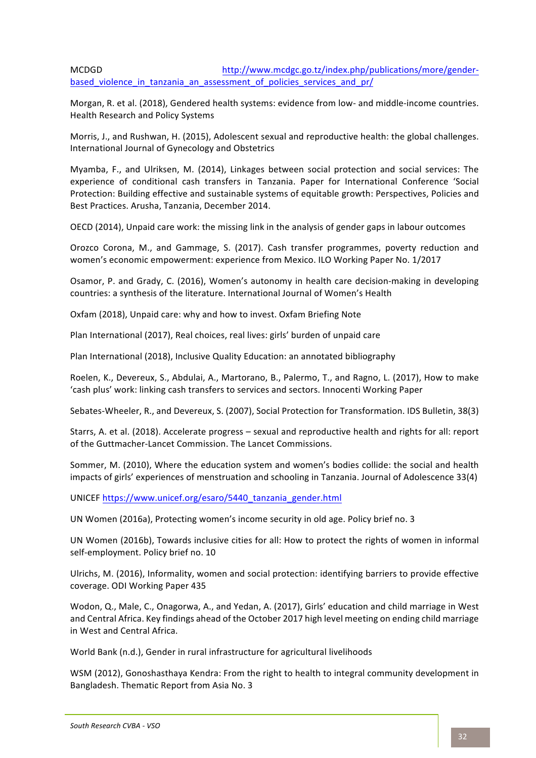# MCDGD http://www.mcdgc.go.tz/index.php/publications/more/genderbased\_violence\_in\_tanzania\_an\_assessment\_of\_policies\_services\_and\_pr/

Morgan, R. et al. (2018), Gendered health systems: evidence from low- and middle-income countries. Health Research and Policy Systems

Morris, J., and Rushwan, H. (2015), Adolescent sexual and reproductive health: the global challenges. International Journal of Gynecology and Obstetrics

Myamba, F., and Ulriksen, M. (2014), Linkages between social protection and social services: The experience of conditional cash transfers in Tanzania. Paper for International Conference 'Social Protection: Building effective and sustainable systems of equitable growth: Perspectives, Policies and Best Practices. Arusha, Tanzania, December 2014.

OECD (2014), Unpaid care work: the missing link in the analysis of gender gaps in labour outcomes

Orozco Corona, M., and Gammage, S. (2017). Cash transfer programmes, poverty reduction and women's economic empowerment: experience from Mexico. ILO Working Paper No. 1/2017

Osamor, P. and Grady, C. (2016), Women's autonomy in health care decision-making in developing countries: a synthesis of the literature. International Journal of Women's Health

Oxfam (2018), Unpaid care: why and how to invest. Oxfam Briefing Note

Plan International (2017), Real choices, real lives: girls' burden of unpaid care

Plan International (2018), Inclusive Quality Education: an annotated bibliography

Roelen, K., Devereux, S., Abdulai, A., Martorano, B., Palermo, T., and Ragno, L. (2017), How to make 'cash plus' work: linking cash transfers to services and sectors. Innocenti Working Paper

Sebates-Wheeler, R., and Devereux, S. (2007), Social Protection for Transformation. IDS Bulletin, 38(3)

Starrs, A. et al. (2018). Accelerate progress – sexual and reproductive health and rights for all: report of the Guttmacher-Lancet Commission. The Lancet Commissions.

Sommer, M. (2010), Where the education system and women's bodies collide: the social and health impacts of girls' experiences of menstruation and schooling in Tanzania. Journal of Adolescence 33(4)

UNICEF https://www.unicef.org/esaro/5440\_tanzania\_gender.html

UN Women (2016a), Protecting women's income security in old age. Policy brief no. 3

UN Women (2016b), Towards inclusive cities for all: How to protect the rights of women in informal self-employment. Policy brief no. 10

Ulrichs, M. (2016), Informality, women and social protection: identifying barriers to provide effective coverage. ODI Working Paper 435

Wodon, Q., Male, C., Onagorwa, A., and Yedan, A. (2017), Girls' education and child marriage in West and Central Africa. Key findings ahead of the October 2017 high level meeting on ending child marriage in West and Central Africa.

World Bank (n.d.), Gender in rural infrastructure for agricultural livelihoods

WSM (2012), Gonoshasthaya Kendra: From the right to health to integral community development in Bangladesh. Thematic Report from Asia No. 3